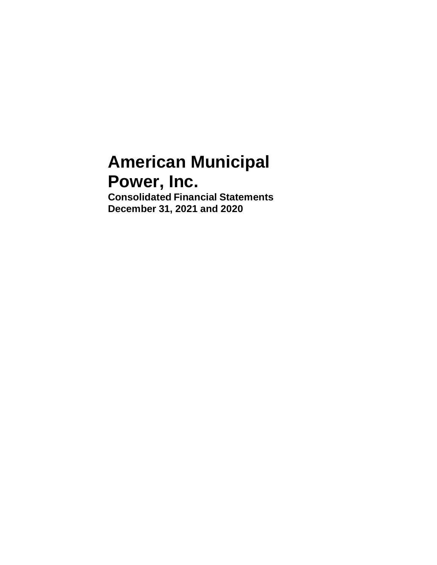# **American Municipal Power, Inc.**

**Consolidated Financial Statements December 31, 2021 and 2020**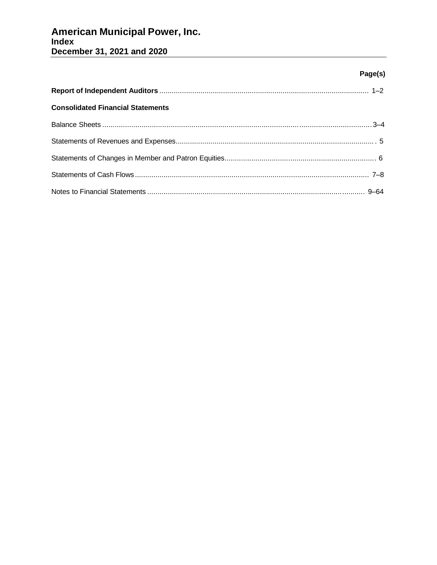# **American Municipal Power, Inc.**<br>Index December 31, 2021 and 2020

# Page(s)

| <b>Consolidated Financial Statements</b> |  |
|------------------------------------------|--|
|                                          |  |
|                                          |  |
|                                          |  |
|                                          |  |
|                                          |  |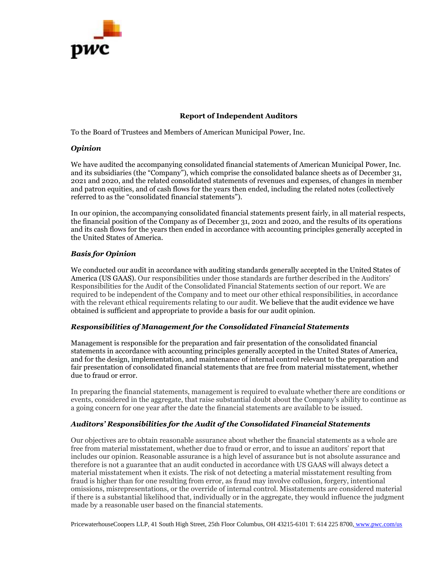

# **Report of Independent Auditors**

To the Board of Trustees and Members of American Municipal Power, Inc.

# *Opinion*

We have audited the accompanying consolidated financial statements of American Municipal Power, Inc. and its subsidiaries (the "Company"), which comprise the consolidated balance sheets as of December 31, 2021 and 2020, and the related consolidated statements of revenues and expenses, of changes in member and patron equities, and of cash flows for the years then ended, including the related notes (collectively referred to as the "consolidated financial statements").

In our opinion, the accompanying consolidated financial statements present fairly, in all material respects, the financial position of the Company as of December 31, 2021 and 2020, and the results of its operations and its cash flows for the years then ended in accordance with accounting principles generally accepted in the United States of America.

# *Basis for Opinion*

We conducted our audit in accordance with auditing standards generally accepted in the United States of America (US GAAS). Our responsibilities under those standards are further described in the Auditors' Responsibilities for the Audit of the Consolidated Financial Statements section of our report. We are required to be independent of the Company and to meet our other ethical responsibilities, in accordance with the relevant ethical requirements relating to our audit. We believe that the audit evidence we have obtained is sufficient and appropriate to provide a basis for our audit opinion.

# *Responsibilities of Management for the Consolidated Financial Statements*

Management is responsible for the preparation and fair presentation of the consolidated financial statements in accordance with accounting principles generally accepted in the United States of America, and for the design, implementation, and maintenance of internal control relevant to the preparation and fair presentation of consolidated financial statements that are free from material misstatement, whether due to fraud or error.

In preparing the financial statements, management is required to evaluate whether there are conditions or events, considered in the aggregate, that raise substantial doubt about the Company's ability to continue as a going concern for one year after the date the financial statements are available to be issued.

# *Auditors' Responsibilities for the Audit of the Consolidated Financial Statements*

Our objectives are to obtain reasonable assurance about whether the financial statements as a whole are free from material misstatement, whether due to fraud or error, and to issue an auditors' report that includes our opinion. Reasonable assurance is a high level of assurance but is not absolute assurance and therefore is not a guarantee that an audit conducted in accordance with US GAAS will always detect a material misstatement when it exists. The risk of not detecting a material misstatement resulting from fraud is higher than for one resulting from error, as fraud may involve collusion, forgery, intentional omissions, misrepresentations, or the override of internal control. Misstatements are considered material if there is a substantial likelihood that, individually or in the aggregate, they would influence the judgment made by a reasonable user based on the financial statements.

PricewaterhouseCoopers LLP, 41 South High Street, 25th Floor Columbus, OH 43215-6101 T: 614 225 8700, [www.pwc.com/us](http://www.pwc.com/us)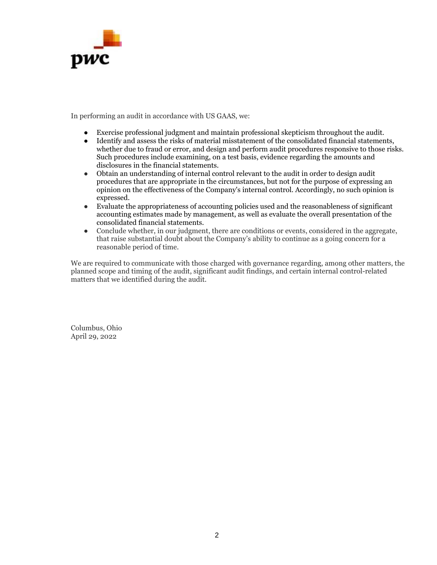

In performing an audit in accordance with US GAAS, we:

- Exercise professional judgment and maintain professional skepticism throughout the audit.
- Identify and assess the risks of material misstatement of the consolidated financial statements, whether due to fraud or error, and design and perform audit procedures responsive to those risks. Such procedures include examining, on a test basis, evidence regarding the amounts and disclosures in the financial statements.
- Obtain an understanding of internal control relevant to the audit in order to design audit procedures that are appropriate in the circumstances, but not for the purpose of expressing an opinion on the effectiveness of the Company's internal control. Accordingly, no such opinion is expressed.
- Evaluate the appropriateness of accounting policies used and the reasonableness of significant accounting estimates made by management, as well as evaluate the overall presentation of the consolidated financial statements.
- Conclude whether, in our judgment, there are conditions or events, considered in the aggregate, that raise substantial doubt about the Company's ability to continue as a going concern for a reasonable period of time.

We are required to communicate with those charged with governance regarding, among other matters, the planned scope and timing of the audit, significant audit findings, and certain internal control-related matters that we identified during the audit.

Columbus, Ohio April 29, 2022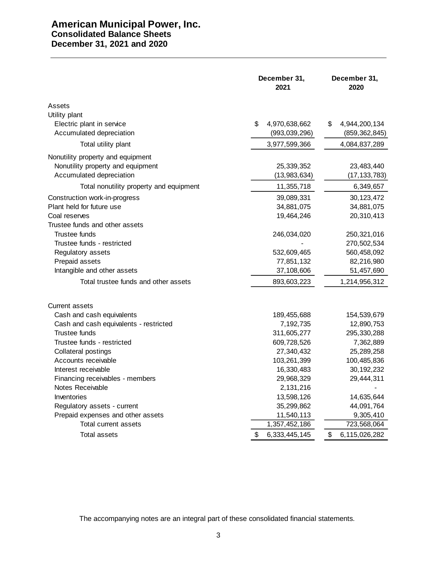# **American Municipal Power, Inc. Consolidated Balance Sheets December 31, 2021 and 2020**

|                                         | December 31,<br>2021 | December 31,<br>2020 |
|-----------------------------------------|----------------------|----------------------|
| Assets<br>Utility plant                 |                      |                      |
| Electric plant in service               | \$<br>4,970,638,662  | \$<br>4,944,200,134  |
| Accumulated depreciation                | (993,039,296)        | (859, 362, 845)      |
| Total utility plant                     | 3,977,599,366        | 4,084,837,289        |
| Nonutility property and equipment       |                      |                      |
| Nonutility property and equipment       | 25,339,352           | 23,483,440           |
| Accumulated depreciation                | (13,983,634)         | (17, 133, 783)       |
| Total nonutility property and equipment | 11,355,718           | 6,349,657            |
| Construction work-in-progress           | 39,089,331           | 30, 123, 472         |
| Plant held for future use               | 34,881,075           | 34,881,075           |
| Coal reserves                           | 19,464,246           | 20,310,413           |
| Trustee funds and other assets          |                      |                      |
| Trustee funds                           | 246,034,020          | 250,321,016          |
| Trustee funds - restricted              |                      | 270,502,534          |
| Regulatory assets                       | 532,609,465          | 560,458,092          |
| Prepaid assets                          | 77,851,132           | 82,216,980           |
| Intangible and other assets             | 37,108,606           | 51,457,690           |
| Total trustee funds and other assets    | 893,603,223          | 1,214,956,312        |
| Current assets                          |                      |                      |
| Cash and cash equivalents               | 189,455,688          | 154,539,679          |
| Cash and cash equivalents - restricted  | 7,192,735            | 12,890,753           |
| Trustee funds                           | 311,605,277          | 295,330,288          |
| Trustee funds - restricted              | 609,728,526          | 7,362,889            |
| Collateral postings                     | 27,340,432           | 25,289,258           |
| Accounts receivable                     | 103,261,399          | 100,485,836          |
| Interest receivable                     | 16,330,483           | 30, 192, 232         |
| Financing receivables - members         | 29,968,329           | 29,444,311           |
| Notes Receivable                        | 2,131,216            |                      |
| Inventories                             | 13,598,126           | 14,635,644           |
| Regulatory assets - current             | 35,299,862           | 44,091,764           |
| Prepaid expenses and other assets       | 11,540,113           | 9,305,410            |
| Total current assets                    | 1,357,452,186        | 723,568,064          |
| Total assets                            | \$<br>6,333,445,145  | \$<br>6,115,026,282  |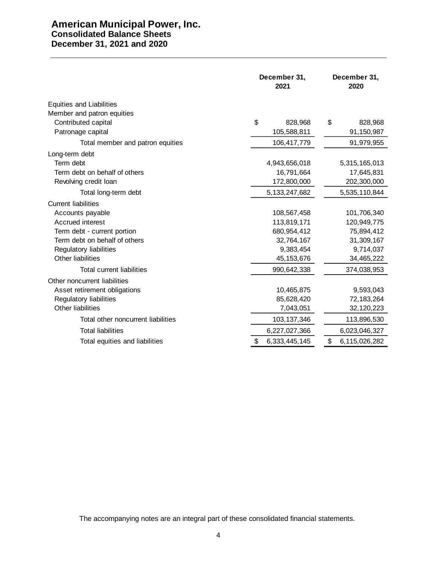# **American Municipal Power, Inc. Consolidated Balance Sheets December 31, 2021 and 2020**

|                                    | December 31,<br>2021 | December 31,<br>2020 |  |
|------------------------------------|----------------------|----------------------|--|
| <b>Equities and Liabilities</b>    |                      |                      |  |
| Member and patron equities         |                      |                      |  |
| Contributed capital                | \$<br>828,968        | \$<br>828,968        |  |
| Patronage capital                  | 105,588,811          | 91,150,987           |  |
| Total member and patron equities   | 106,417,779          | 91,979,955           |  |
| Long-term debt                     |                      |                      |  |
| Term debt                          | 4,943,656,018        | 5,315,165,013        |  |
| Term debt on behalf of others      | 16,791,664           | 17,645,831           |  |
| Revolving credit loan              | 172,800,000          | 202,300,000          |  |
| Total long-term debt               | 5, 133, 247, 682     | 5,535,110,844        |  |
| <b>Current liabilities</b>         |                      |                      |  |
| Accounts payable                   | 108,567,458          | 101,706,340          |  |
| Accrued interest                   | 113,819,171          | 120,949,775          |  |
| Term debt - current portion        | 680,954,412          | 75,894,412           |  |
| Term debt on behalf of others      | 32,764,167           | 31,309,167           |  |
| Regulatory liabilities             | 9,383,454            | 9,714,037            |  |
| <b>Other liabilities</b>           | 45, 153, 676         | 34,465,222           |  |
| <b>Total current liabilities</b>   | 990,642,338          | 374,038,953          |  |
| Other noncurrent liabilities       |                      |                      |  |
| Asset retirement obligations       | 10,465,875           | 9,593,043            |  |
| <b>Regulatory liabilities</b>      | 85,628,420           | 72,183,264           |  |
| Other liabilities                  | 7,043,051            | 32, 120, 223         |  |
| Total other noncurrent liabilities | 103, 137, 346        | 113,896,530          |  |
| <b>Total liabilities</b>           | 6,227,027,366        | 6,023,046,327        |  |
| Total equities and liabilities     | 6,333,445,145<br>\$  | \$<br>6,115,026,282  |  |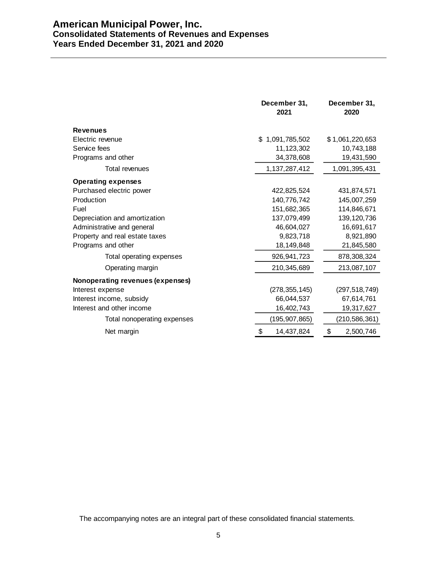# **American Municipal Power, Inc. Consolidated Statements of Revenues and Expenses Years Ended December 31, 2021 and 2020**

|                                  | December 31,<br>2021 | December 31,<br>2020 |
|----------------------------------|----------------------|----------------------|
| <b>Revenues</b>                  |                      |                      |
| Electric revenue                 | \$1,091,785,502      | \$1,061,220,653      |
| Service fees                     | 11,123,302           | 10,743,188           |
| Programs and other               | 34,378,608           | 19,431,590           |
| Total revenues                   | 1,137,287,412        | 1,091,395,431        |
| <b>Operating expenses</b>        |                      |                      |
| Purchased electric power         | 422,825,524          | 431,874,571          |
| Production                       | 140,776,742          | 145,007,259          |
| Fuel                             | 151,682,365          | 114,846,671          |
| Depreciation and amortization    | 137,079,499          | 139, 120, 736        |
| Administrative and general       | 46,604,027           | 16,691,617           |
| Property and real estate taxes   | 9,823,718            | 8,921,890            |
| Programs and other               | 18,149,848           | 21,845,580           |
| Total operating expenses         | 926,941,723          | 878,308,324          |
| Operating margin                 | 210,345,689          | 213,087,107          |
| Nonoperating revenues (expenses) |                      |                      |
| Interest expense                 | (278, 355, 145)      | (297, 518, 749)      |
| Interest income, subsidy         | 66,044,537           | 67,614,761           |
| Interest and other income        | 16,402,743           | 19,317,627           |
| Total nonoperating expenses      | (195, 907, 865)      | (210, 586, 361)      |
| Net margin                       | \$<br>14,437,824     | \$<br>2,500,746      |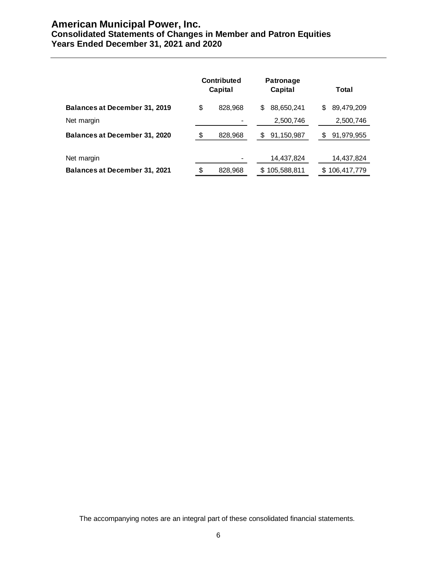# **American Municipal Power, Inc. Consolidated Statements of Changes in Member and Patron Equities Years Ended December 31, 2021 and 2020**

|                                      | <b>Contributed</b><br>Capital | <b>Patronage</b><br>Capital | Total           |
|--------------------------------------|-------------------------------|-----------------------------|-----------------|
| <b>Balances at December 31, 2019</b> | \$<br>828,968                 | 88,650,241<br>S             | 89,479,209<br>S |
| Net margin                           |                               | 2,500,746                   | 2,500,746       |
| <b>Balances at December 31, 2020</b> | \$<br>828,968                 | 91,150,987<br>S             | 91,979,955<br>S |
| Net margin                           |                               | 14,437,824                  | 14,437,824      |
| <b>Balances at December 31, 2021</b> | \$<br>828,968                 | \$105,588,811               | \$106,417,779   |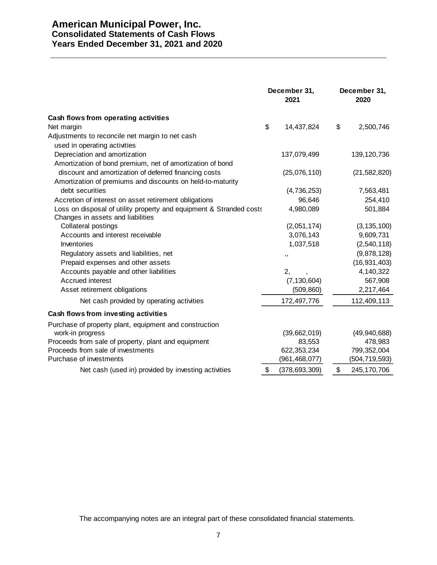# **American Municipal Power, Inc. Consolidated Statements of Cash Flows Years Ended December 31, 2021 and 2020**

|                                                                     |    | December 31,<br>2021 |    | December 31,<br>2020 |  |
|---------------------------------------------------------------------|----|----------------------|----|----------------------|--|
| Cash flows from operating activities                                |    |                      |    |                      |  |
| Net margin                                                          | \$ | 14,437,824           | \$ | 2,500,746            |  |
| Adjustments to reconcile net margin to net cash                     |    |                      |    |                      |  |
| used in operating activities                                        |    |                      |    |                      |  |
| Depreciation and amortization                                       |    | 137,079,499          |    | 139, 120, 736        |  |
| Amortization of bond premium, net of amortization of bond           |    |                      |    |                      |  |
| discount and amortization of deferred financing costs               |    | (25,076,110)         |    | (21, 582, 820)       |  |
| Amortization of premiums and discounts on held-to-maturity          |    |                      |    |                      |  |
| debt securities                                                     |    | (4,736,253)          |    | 7,563,481            |  |
| Accretion of interest on asset retirement obligations               |    | 96,646               |    | 254,410              |  |
| Loss on disposal of utility property and equipment & Stranded costs |    | 4,980,089            |    | 501,884              |  |
| Changes in assets and liabilities                                   |    |                      |    |                      |  |
| Collateral postings                                                 |    | (2,051,174)          |    | (3, 135, 100)        |  |
| Accounts and interest receivable                                    |    | 3,076,143            |    | 9,609,731            |  |
| Inventories                                                         |    | 1,037,518            |    | (2,540,118)          |  |
| Regulatory assets and liabilities, net                              |    | ,,                   |    | (9,878,128)          |  |
| Prepaid expenses and other assets                                   |    |                      |    | (16, 931, 403)       |  |
| Accounts payable and other liabilities                              |    | 2,                   |    | 4,140,322            |  |
| Accrued interest                                                    |    | (7, 130, 604)        |    | 567,908              |  |
| Asset retirement obligations                                        |    | (509, 860)           |    | 2,217,464            |  |
| Net cash provided by operating activities                           |    | 172,497,776          |    | 112,409,113          |  |
| Cash flows from investing activities                                |    |                      |    |                      |  |
| Purchase of property plant, equipment and construction              |    |                      |    |                      |  |
| work-in progress                                                    |    | (39,662,019)         |    | (49, 940, 688)       |  |
| Proceeds from sale of property, plant and equipment                 |    | 83,553               |    | 478,983              |  |
| Proceeds from sale of investments                                   |    | 622, 353, 234        |    | 799,352,004          |  |
| Purchase of investments                                             |    | (961, 468, 077)      |    | (504, 719, 593)      |  |
| Net cash (used in) provided by investing activities                 | \$ | (378, 693, 309)      | \$ | 245, 170, 706        |  |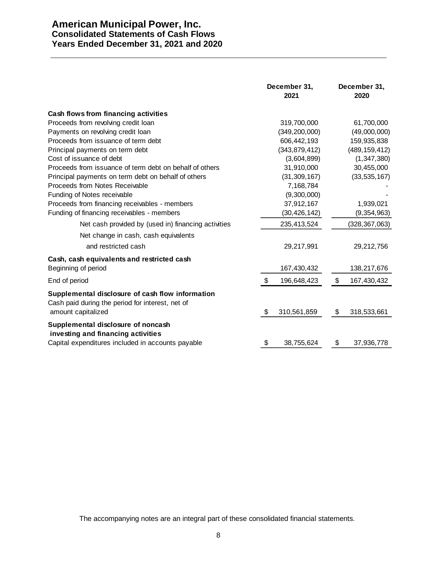# **American Municipal Power, Inc. Consolidated Statements of Cash Flows Years Ended December 31, 2021 and 2020**

|                                                                                                      | December 31,<br>2021 | December 31,<br>2020 |
|------------------------------------------------------------------------------------------------------|----------------------|----------------------|
| Cash flows from financing activities                                                                 |                      |                      |
| Proceeds from revolving credit loan                                                                  | 319,700,000          | 61,700,000           |
| Payments on revolving credit loan                                                                    | (349, 200, 000)      | (49,000,000)         |
| Proceeds from issuance of term debt                                                                  | 606,442,193          | 159,935,838          |
| Principal payments on term debt                                                                      | (343, 879, 412)      | (489, 159, 412)      |
| Cost of issuance of debt                                                                             | (3,604,899)          | (1, 347, 380)        |
| Proceeds from issuance of term debt on behalf of others                                              | 31,910,000           | 30,455,000           |
| Principal payments on term debt on behalf of others                                                  | (31, 309, 167)       | (33, 535, 167)       |
| Proceeds from Notes Receivable                                                                       | 7,168,784            |                      |
| Funding of Notes receivable                                                                          | (9,300,000)          |                      |
| Proceeds from financing receivables - members                                                        | 37,912,167           | 1,939,021            |
| Funding of financing receivables - members                                                           | (30, 426, 142)       | (9, 354, 963)        |
| Net cash provided by (used in) financing activities                                                  | 235,413,524          | (328, 367, 063)      |
| Net change in cash, cash equivalents                                                                 |                      |                      |
| and restricted cash                                                                                  | 29,217,991           | 29,212,756           |
| Cash, cash equivalents and restricted cash                                                           |                      |                      |
| Beginning of period                                                                                  | 167,430,432          | 138,217,676          |
| End of period                                                                                        | \$<br>196,648,423    | \$<br>167,430,432    |
| Supplemental disclosure of cash flow information<br>Cash paid during the period for interest, net of |                      |                      |
| amount capitalized                                                                                   | \$<br>310,561,859    | \$<br>318,533,661    |
| Supplemental disclosure of noncash<br>investing and financing activities                             |                      |                      |
| Capital expenditures included in accounts payable                                                    | \$<br>38,755,624     | \$<br>37,936,778     |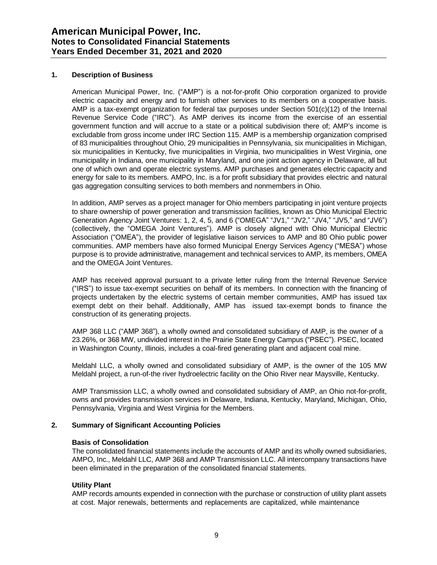# **1. Description of Business**

American Municipal Power, Inc. ("AMP") is a not-for-profit Ohio corporation organized to provide electric capacity and energy and to furnish other services to its members on a cooperative basis. AMP is a tax-exempt organization for federal tax purposes under Section 501(c)(12) of the Internal Revenue Service Code ("IRC"). As AMP derives its income from the exercise of an essential government function and will accrue to a state or a political subdivision there of; AMP's income is excludable from gross income under IRC Section 115. AMP is a membership organization comprised of 83 municipalities throughout Ohio, 29 municipalities in Pennsylvania, six municipalities in Michigan, six municipalities in Kentucky, five municipalities in Virginia, two municipalities in West Virginia, one municipality in Indiana, one municipality in Maryland, and one joint action agency in Delaware, all but one of which own and operate electric systems. AMP purchases and generates electric capacity and energy for sale to its members. AMPO, Inc. is a for profit subsidiary that provides electric and natural gas aggregation consulting services to both members and nonmembers in Ohio.

In addition, AMP serves as a project manager for Ohio members participating in joint venture projects to share ownership of power generation and transmission facilities, known as Ohio Municipal Electric Generation Agency Joint Ventures: 1, 2, 4, 5, and 6 ("OMEGA" "JV1," "JV2," "JV4," "JV5," and "JV6") (collectively, the "OMEGA Joint Ventures"). AMP is closely aligned with Ohio Municipal Electric Association ("OMEA"), the provider of legislative liaison services to AMP and 80 Ohio public power communities. AMP members have also formed Municipal Energy Services Agency ("MESA") whose purpose is to provide administrative, management and technical services to AMP, its members, OMEA and the OMEGA Joint Ventures.

AMP has received approval pursuant to a private letter ruling from the Internal Revenue Service ("IRS") to issue tax-exempt securities on behalf of its members. In connection with the financing of projects undertaken by the electric systems of certain member communities, AMP has issued tax exempt debt on their behalf. Additionally, AMP has issued tax-exempt bonds to finance the construction of its generating projects.

AMP 368 LLC ("AMP 368"), a wholly owned and consolidated subsidiary of AMP, is the owner of a 23.26%, or 368 MW, undivided interest in the Prairie State Energy Campus ("PSEC"). PSEC, located in Washington County, Illinois, includes a coal-fired generating plant and adjacent coal mine.

Meldahl LLC, a wholly owned and consolidated subsidiary of AMP, is the owner of the 105 MW Meldahl project, a run-of-the river hydroelectric facility on the Ohio River near Maysville, Kentucky.

AMP Transmission LLC, a wholly owned and consolidated subsidiary of AMP, an Ohio not-for-profit, owns and provides transmission services in Delaware, Indiana, Kentucky, Maryland, Michigan, Ohio, Pennsylvania, Virginia and West Virginia for the Members.

#### **2. Summary of Significant Accounting Policies**

#### **Basis of Consolidation**

The consolidated financial statements include the accounts of AMP and its wholly owned subsidiaries, AMPO, Inc., Meldahl LLC, AMP 368 and AMP Transmission LLC. All intercompany transactions have been eliminated in the preparation of the consolidated financial statements.

#### **Utility Plant**

AMP records amounts expended in connection with the purchase or construction of utility plant assets at cost. Major renewals, betterments and replacements are capitalized, while maintenance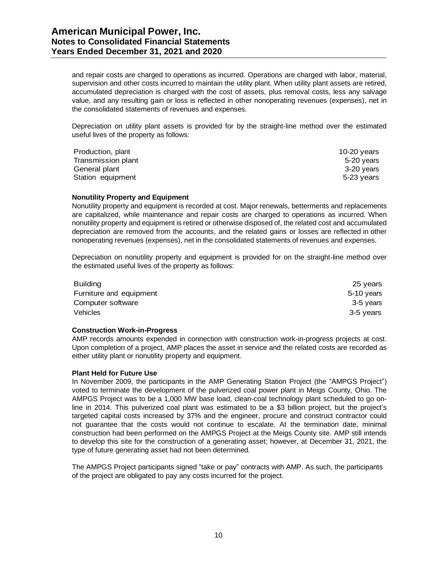and repair costs are charged to operations as incurred. Operations are charged with labor, material, supervision and other costs incurred to maintain the utility plant. When utility plant assets are retired, accumulated depreciation is charged with the cost of assets, plus removal costs, less any salvage value, and any resulting gain or loss is reflected in other nonoperating revenues (expenses), net in the consolidated statements of revenues and expenses.

Depreciation on utility plant assets is provided for by the straight-line method over the estimated useful lives of the property as follows:

| Production, plant  | 10-20 $\nu$ ears |
|--------------------|------------------|
| Transmission plant | 5-20 years       |
| General plant      | 3-20 vears       |
| Station equipment  | 5-23 years       |

#### **Nonutility Property and Equipment**

Nonutility property and equipment is recorded at cost. Major renewals, betterments and replacements are capitalized, while maintenance and repair costs are charged to operations as incurred. When nonutility property and equipment is retired or otherwise disposed of, the related cost and accumulated depreciation are removed from the accounts, and the related gains or losses are reflected in other nonoperating revenues (expenses), net in the consolidated statements of revenues and expenses.

Depreciation on nonutility property and equipment is provided for on the straight-line method over the estimated useful lives of the property as follows:

| 25 years   |
|------------|
| 5-10 years |
| 3-5 years  |
| 3-5 years  |
|            |

#### **Construction Work-in-Progress**

AMP records amounts expended in connection with construction work-in-progress projects at cost. Upon completion of a project, AMP places the asset in service and the related costs are recorded as either utility plant or nonutility property and equipment.

#### **Plant Held for Future Use**

In November 2009, the participants in the AMP Generating Station Project (the "AMPGS Project") voted to terminate the development of the pulverized coal power plant in Meigs County, Ohio. The AMPGS Project was to be a 1,000 MW base load, clean-coal technology plant scheduled to go online in 2014. This pulverized coal plant was estimated to be a \$3 billion project, but the project's targeted capital costs increased by 37% and the engineer, procure and construct contractor could not guarantee that the costs would not continue to escalate. At the termination date, minimal construction had been performed on the AMPGS Project at the Meigs County site. AMP still intends to develop this site for the construction of a generating asset; however, at December 31, 2021, the type of future generating asset had not been determined.

The AMPGS Project participants signed "take or pay" contracts with AMP. As such, the participants of the project are obligated to pay any costs incurred for the project.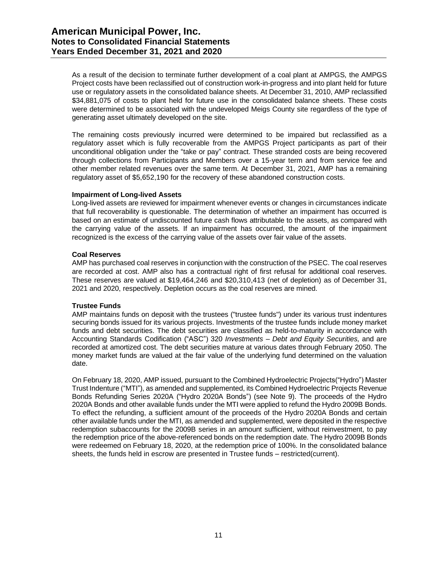As a result of the decision to terminate further development of a coal plant at AMPGS, the AMPGS Project costs have been reclassified out of construction work-in-progress and into plant held for future use or regulatory assets in the consolidated balance sheets. At December 31, 2010, AMP reclassified \$34,881,075 of costs to plant held for future use in the consolidated balance sheets. These costs were determined to be associated with the undeveloped Meigs County site regardless of the type of generating asset ultimately developed on the site.

The remaining costs previously incurred were determined to be impaired but reclassified as a regulatory asset which is fully recoverable from the AMPGS Project participants as part of their unconditional obligation under the "take or pay" contract. These stranded costs are being recovered through collections from Participants and Members over a 15-year term and from service fee and other member related revenues over the same term. At December 31, 2021, AMP has a remaining regulatory asset of \$5,652,190 for the recovery of these abandoned construction costs.

# **Impairment of Long-lived Assets**

Long-lived assets are reviewed for impairment whenever events or changes in circumstances indicate that full recoverability is questionable. The determination of whether an impairment has occurred is based on an estimate of undiscounted future cash flows attributable to the assets, as compared with the carrying value of the assets. If an impairment has occurred, the amount of the impairment recognized is the excess of the carrying value of the assets over fair value of the assets.

# **Coal Reserves**

AMP has purchased coal reserves in conjunction with the construction of the PSEC. The coal reserves are recorded at cost. AMP also has a contractual right of first refusal for additional coal reserves. These reserves are valued at \$19,464,246 and \$20,310,413 (net of depletion) as of December 31, 2021 and 2020, respectively. Depletion occurs as the coal reserves are mined.

# **Trustee Funds**

AMP maintains funds on deposit with the trustees ("trustee funds") under its various trust indentures securing bonds issued for its various projects. Investments of the trustee funds include money market funds and debt securities. The debt securities are classified as held-to-maturity in accordance with Accounting Standards Codification ("ASC") 320 *Investments – Debt and Equity Securities,* and are recorded at amortized cost. The debt securities mature at various dates through February 2050. The money market funds are valued at the fair value of the underlying fund determined on the valuation date.

On February 18, 2020, AMP issued, pursuant to the Combined Hydroelectric Projects("Hydro") Master Trust Indenture ("MTI"), as amended and supplemented, its Combined Hydroelectric Projects Revenue Bonds Refunding Series 2020A ("Hydro 2020A Bonds") (see Note 9). The proceeds of the Hydro 2020A Bonds and other available funds under the MTI were applied to refund the Hydro 2009B Bonds. To effect the refunding, a sufficient amount of the proceeds of the Hydro 2020A Bonds and certain other available funds under the MTI, as amended and supplemented, were deposited in the respective redemption subaccounts for the 2009B series in an amount sufficient, without reinvestment, to pay the redemption price of the above-referenced bonds on the redemption date. The Hydro 2009B Bonds were redeemed on February 18, 2020, at the redemption price of 100%. In the consolidated balance sheets, the funds held in escrow are presented in Trustee funds – restricted(current).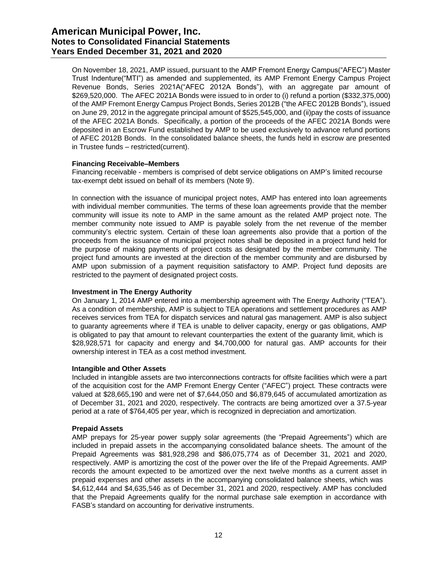# **American Municipal Power, Inc. Notes to Consolidated Financial Statements Years Ended December 31, 2021 and 2020**

On November 18, 2021, AMP issued, pursuant to the AMP Fremont Energy Campus("AFEC") Master Trust Indenture("MTI") as amended and supplemented, its AMP Fremont Energy Campus Project Revenue Bonds, Series 2021A("AFEC 2012A Bonds"), with an aggregate par amount of \$269,520,000. The AFEC 2021A Bonds were issued to in order to (i) refund a portion (\$332,375,000) of the AMP Fremont Energy Campus Project Bonds, Series 2012B ("the AFEC 2012B Bonds"), issued on June 29, 2012 in the aggregate principal amount of \$525,545,000, and (ii)pay the costs of issuance of the AFEC 2021A Bonds. Specifically, a portion of the proceeds of the AFEC 2021A Bonds were deposited in an Escrow Fund established by AMP to be used exclusively to advance refund portions of AFEC 2012B Bonds. In the consolidated balance sheets, the funds held in escrow are presented in Trustee funds – restricted(current).

# **Financing Receivable–Members**

Financing receivable - members is comprised of debt service obligations on AMP's limited recourse tax-exempt debt issued on behalf of its members (Note 9).

In connection with the issuance of municipal project notes, AMP has entered into loan agreements with individual member communities. The terms of these loan agreements provide that the member community will issue its note to AMP in the same amount as the related AMP project note. The member community note issued to AMP is payable solely from the net revenue of the member community's electric system. Certain of these loan agreements also provide that a portion of the proceeds from the issuance of municipal project notes shall be deposited in a project fund held for the purpose of making payments of project costs as designated by the member community. The project fund amounts are invested at the direction of the member community and are disbursed by AMP upon submission of a payment requisition satisfactory to AMP. Project fund deposits are restricted to the payment of designated project costs.

# **Investment in The Energy Authority**

On January 1, 2014 AMP entered into a membership agreement with The Energy Authority ("TEA"). As a condition of membership, AMP is subject to TEA operations and settlement procedures as AMP receives services from TEA for dispatch services and natural gas management. AMP is also subject to guaranty agreements where if TEA is unable to deliver capacity, energy or gas obligations, AMP is obligated to pay that amount to relevant counterparties the extent of the guaranty limit, which is \$28,928,571 for capacity and energy and \$4,700,000 for natural gas. AMP accounts for their ownership interest in TEA as a cost method investment.

#### **Intangible and Other Assets**

Included in intangible assets are two interconnections contracts for offsite facilities which were a part of the acquisition cost for the AMP Fremont Energy Center ("AFEC") project. These contracts were valued at \$28,665,190 and were net of \$7,644,050 and \$6,879,645 of accumulated amortization as of December 31, 2021 and 2020, respectively. The contracts are being amortized over a 37.5-year period at a rate of \$764,405 per year, which is recognized in depreciation and amortization.

#### **Prepaid Assets**

AMP prepays for 25-year power supply solar agreements (the "Prepaid Agreements") which are included in prepaid assets in the accompanying consolidated balance sheets. The amount of the Prepaid Agreements was \$81,928,298 and \$86,075,774 as of December 31, 2021 and 2020, respectively. AMP is amortizing the cost of the power over the life of the Prepaid Agreements. AMP records the amount expected to be amortized over the next twelve months as a current asset in prepaid expenses and other assets in the accompanying consolidated balance sheets, which was \$4,612,444 and \$4,635,546 as of December 31, 2021 and 2020, respectively. AMP has concluded that the Prepaid Agreements qualify for the normal purchase sale exemption in accordance with FASB's standard on accounting for derivative instruments.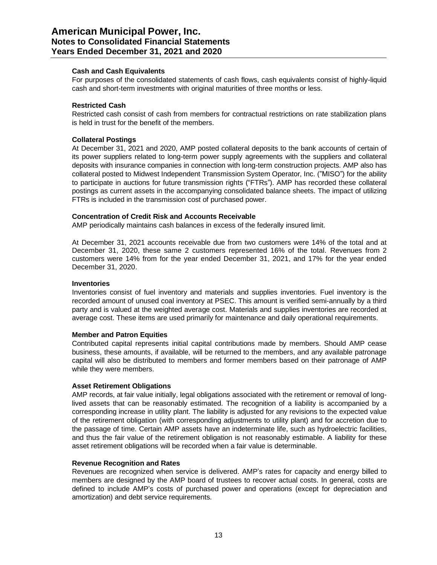## **Cash and Cash Equivalents**

For purposes of the consolidated statements of cash flows, cash equivalents consist of highly-liquid cash and short-term investments with original maturities of three months or less.

# **Restricted Cash**

Restricted cash consist of cash from members for contractual restrictions on rate stabilization plans is held in trust for the benefit of the members.

## **Collateral Postings**

At December 31, 2021 and 2020, AMP posted collateral deposits to the bank accounts of certain of its power suppliers related to long-term power supply agreements with the suppliers and collateral deposits with insurance companies in connection with long-term construction projects. AMP also has collateral posted to Midwest Independent Transmission System Operator, Inc. ("MISO") for the ability to participate in auctions for future transmission rights ("FTRs"). AMP has recorded these collateral postings as current assets in the accompanying consolidated balance sheets. The impact of utilizing FTRs is included in the transmission cost of purchased power.

# **Concentration of Credit Risk and Accounts Receivable**

AMP periodically maintains cash balances in excess of the federally insured limit.

At December 31, 2021 accounts receivable due from two customers were 14% of the total and at December 31, 2020, these same 2 customers represented 16% of the total. Revenues from 2 customers were 14% from for the year ended December 31, 2021, and 17% for the year ended December 31, 2020.

#### **Inventories**

Inventories consist of fuel inventory and materials and supplies inventories. Fuel inventory is the recorded amount of unused coal inventory at PSEC. This amount is verified semi-annually by a third party and is valued at the weighted average cost. Materials and supplies inventories are recorded at average cost. These items are used primarily for maintenance and daily operational requirements.

#### **Member and Patron Equities**

Contributed capital represents initial capital contributions made by members. Should AMP cease business, these amounts, if available, will be returned to the members, and any available patronage capital will also be distributed to members and former members based on their patronage of AMP while they were members.

#### **Asset Retirement Obligations**

AMP records, at fair value initially, legal obligations associated with the retirement or removal of longlived assets that can be reasonably estimated. The recognition of a liability is accompanied by a corresponding increase in utility plant. The liability is adjusted for any revisions to the expected value of the retirement obligation (with corresponding adjustments to utility plant) and for accretion due to the passage of time. Certain AMP assets have an indeterminate life, such as hydroelectric facilities, and thus the fair value of the retirement obligation is not reasonably estimable. A liability for these asset retirement obligations will be recorded when a fair value is determinable.

#### **Revenue Recognition and Rates**

Revenues are recognized when service is delivered. AMP's rates for capacity and energy billed to members are designed by the AMP board of trustees to recover actual costs. In general, costs are defined to include AMP's costs of purchased power and operations (except for depreciation and amortization) and debt service requirements.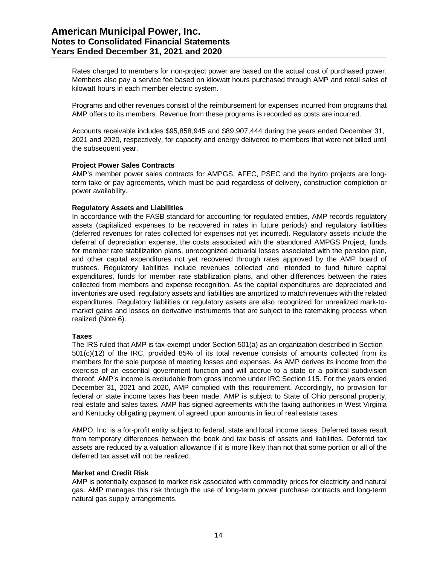Rates charged to members for non-project power are based on the actual cost of purchased power. Members also pay a service fee based on kilowatt hours purchased through AMP and retail sales of kilowatt hours in each member electric system.

Programs and other revenues consist of the reimbursement for expenses incurred from programs that AMP offers to its members. Revenue from these programs is recorded as costs are incurred.

Accounts receivable includes \$95,858,945 and \$89,907,444 during the years ended December 31, 2021 and 2020, respectively, for capacity and energy delivered to members that were not billed until the subsequent year.

# **Project Power Sales Contracts**

AMP's member power sales contracts for AMPGS, AFEC, PSEC and the hydro projects are longterm take or pay agreements, which must be paid regardless of delivery, construction completion or power availability.

# **Regulatory Assets and Liabilities**

In accordance with the FASB standard for accounting for regulated entities, AMP records regulatory assets (capitalized expenses to be recovered in rates in future periods) and regulatory liabilities (deferred revenues for rates collected for expenses not yet incurred). Regulatory assets include the deferral of depreciation expense, the costs associated with the abandoned AMPGS Project, funds for member rate stabilization plans, unrecognized actuarial losses associated with the pension plan, and other capital expenditures not yet recovered through rates approved by the AMP board of trustees. Regulatory liabilities include revenues collected and intended to fund future capital expenditures, funds for member rate stabilization plans, and other differences between the rates collected from members and expense recognition. As the capital expenditures are depreciated and inventories are used, regulatory assets and liabilities are amortized to match revenues with the related expenditures. Regulatory liabilities or regulatory assets are also recognized for unrealized mark-tomarket gains and losses on derivative instruments that are subject to the ratemaking process when realized (Note 6).

#### **Taxes**

The IRS ruled that AMP is tax-exempt under Section 501(a) as an organization described in Section 501(c)(12) of the IRC, provided 85% of its total revenue consists of amounts collected from its members for the sole purpose of meeting losses and expenses. As AMP derives its income from the exercise of an essential government function and will accrue to a state or a political subdivision thereof; AMP's income is excludable from gross income under IRC Section 115. For the years ended December 31, 2021 and 2020, AMP complied with this requirement. Accordingly, no provision for federal or state income taxes has been made. AMP is subject to State of Ohio personal property, real estate and sales taxes. AMP has signed agreements with the taxing authorities in West Virginia and Kentucky obligating payment of agreed upon amounts in lieu of real estate taxes.

AMPO, Inc. is a for-profit entity subject to federal, state and local income taxes. Deferred taxes result from temporary differences between the book and tax basis of assets and liabilities. Deferred tax assets are reduced by a valuation allowance if it is more likely than not that some portion or all of the deferred tax asset will not be realized.

#### **Market and Credit Risk**

AMP is potentially exposed to market risk associated with commodity prices for electricity and natural gas. AMP manages this risk through the use of long-term power purchase contracts and long-term natural gas supply arrangements.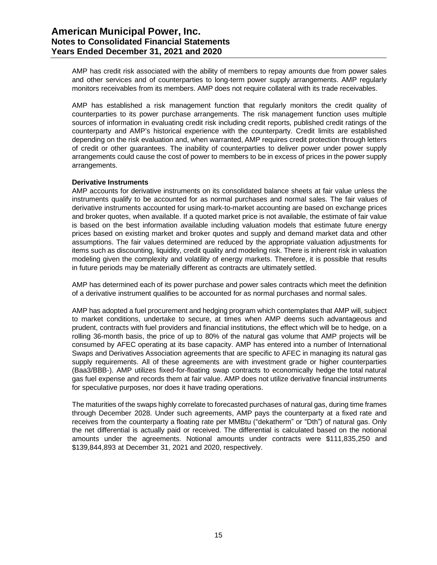AMP has credit risk associated with the ability of members to repay amounts due from power sales and other services and of counterparties to long-term power supply arrangements. AMP regularly monitors receivables from its members. AMP does not require collateral with its trade receivables.

AMP has established a risk management function that regularly monitors the credit quality of counterparties to its power purchase arrangements. The risk management function uses multiple sources of information in evaluating credit risk including credit reports, published credit ratings of the counterparty and AMP's historical experience with the counterparty. Credit limits are established depending on the risk evaluation and, when warranted, AMP requires credit protection through letters of credit or other guarantees. The inability of counterparties to deliver power under power supply arrangements could cause the cost of power to members to be in excess of prices in the power supply arrangements.

# **Derivative Instruments**

AMP accounts for derivative instruments on its consolidated balance sheets at fair value unless the instruments qualify to be accounted for as normal purchases and normal sales. The fair values of derivative instruments accounted for using mark-to-market accounting are based on exchange prices and broker quotes, when available. If a quoted market price is not available, the estimate of fair value is based on the best information available including valuation models that estimate future energy prices based on existing market and broker quotes and supply and demand market data and other assumptions. The fair values determined are reduced by the appropriate valuation adjustments for items such as discounting, liquidity, credit quality and modeling risk. There is inherent risk in valuation modeling given the complexity and volatility of energy markets. Therefore, it is possible that results in future periods may be materially different as contracts are ultimately settled.

AMP has determined each of its power purchase and power sales contracts which meet the definition of a derivative instrument qualifies to be accounted for as normal purchases and normal sales.

AMP has adopted a fuel procurement and hedging program which contemplates that AMP will, subject to market conditions, undertake to secure, at times when AMP deems such advantageous and prudent, contracts with fuel providers and financial institutions, the effect which will be to hedge, on a rolling 36-month basis, the price of up to 80% of the natural gas volume that AMP projects will be consumed by AFEC operating at its base capacity. AMP has entered into a number of International Swaps and Derivatives Association agreements that are specific to AFEC in managing its natural gas supply requirements. All of these agreements are with investment grade or higher counterparties (Baa3/BBB-). AMP utilizes fixed-for-floating swap contracts to economically hedge the total natural gas fuel expense and records them at fair value. AMP does not utilize derivative financial instruments for speculative purposes, nor does it have trading operations.

The maturities of the swaps highly correlate to forecasted purchases of natural gas, during time frames through December 2028. Under such agreements, AMP pays the counterparty at a fixed rate and receives from the counterparty a floating rate per MMBtu ("dekatherm" or "Dth") of natural gas. Only the net differential is actually paid or received. The differential is calculated based on the notional amounts under the agreements. Notional amounts under contracts were \$111,835,250 and \$139,844,893 at December 31, 2021 and 2020, respectively.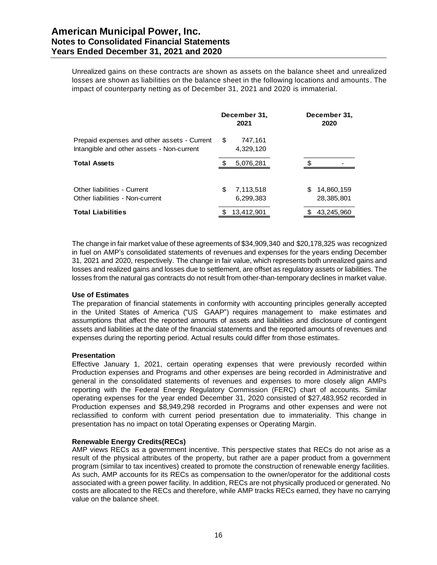Unrealized gains on these contracts are shown as assets on the balance sheet and unrealized losses are shown as liabilities on the balance sheet in the following locations and amounts. The impact of counterparty netting as of December 31, 2021 and 2020 is immaterial.

|                                                                                          | December 31.<br>2021         | December 31,<br>2020          |
|------------------------------------------------------------------------------------------|------------------------------|-------------------------------|
| Prepaid expenses and other assets - Current<br>Intangible and other assets - Non-current | - \$<br>747,161<br>4,329,120 |                               |
| <b>Total Assets</b>                                                                      | <br>5,076,281                |                               |
| Other liabilities - Current<br>Other liabilities - Non-current                           | \$<br>7,113,518<br>6,299,383 | 14,860,159<br>S<br>28,385,801 |
| <b>Total Liabilities</b>                                                                 | 13,412,901                   | 43.245.960                    |

The change in fair market value of these agreements of \$34,909,340 and \$20,178,325 was recognized in fuel on AMP's consolidated statements of revenues and expenses for the years ending December 31, 2021 and 2020, respectively. The change in fair value, which represents both unrealized gains and losses and realized gains and losses due to settlement, are offset as regulatory assets or liabilities. The losses from the natural gas contracts do not result from other-than-temporary declines in market value.

#### **Use of Estimates**

The preparation of financial statements in conformity with accounting principles generally accepted in the United States of America ("US GAAP") requires management to make estimates and assumptions that affect the reported amounts of assets and liabilities and disclosure of contingent assets and liabilities at the date of the financial statements and the reported amounts of revenues and expenses during the reporting period. Actual results could differ from those estimates.

#### **Presentation**

Effective January 1, 2021, certain operating expenses that were previously recorded within Production expenses and Programs and other expenses are being recorded in Administrative and general in the consolidated statements of revenues and expenses to more closely align AMPs reporting with the Federal Energy Regulatory Commission (FERC) chart of accounts. Similar operating expenses for the year ended December 31, 2020 consisted of \$27,483,952 recorded in Production expenses and \$8,949,298 recorded in Programs and other expenses and were not reclassified to conform with current period presentation due to immateriality. This change in presentation has no impact on total Operating expenses or Operating Margin.

# **Renewable Energy Credits(RECs)**

AMP views RECs as a government incentive. This perspective states that RECs do not arise as a result of the physical attributes of the property, but rather are a paper product from a government program (similar to tax incentives) created to promote the construction of renewable energy facilities. As such, AMP accounts for its RECs as compensation to the owner/operator for the additional costs associated with a green power facility. In addition, RECs are not physically produced or generated. No costs are allocated to the RECs and therefore, while AMP tracks RECs earned, they have no carrying value on the balance sheet.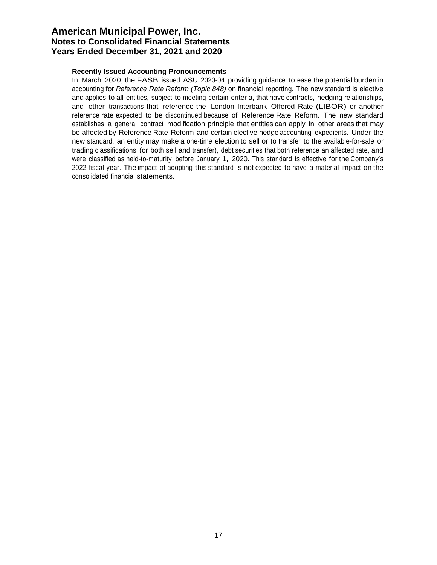# **Recently Issued Accounting Pronouncements**

In March 2020, the FASB issued ASU 2020-04 providing guidance to ease the potential burden in accounting for *Reference Rate Reform (Topic 848)* on financial reporting. The new standard is elective and applies to all entities, subject to meeting certain criteria, that have contracts, hedging relationships, and other transactions that reference the London Interbank Offered Rate (LIBOR) or another reference rate expected to be discontinued because of Reference Rate Reform. The new standard establishes a general contract modification principle that entities can apply in other areas that may be affected by Reference Rate Reform and certain elective hedge accounting expedients. Under the new standard, an entity may make a one-time election to sell or to transfer to the available-for-sale or trading classifications (or both sell and transfer), debt securities that both reference an affected rate, and were classified as held-to-maturity before January 1, 2020. This standard is effective for the Company's 2022 fiscal year. The impact of adopting this standard is not expected to have a material impact on the consolidated financial statements.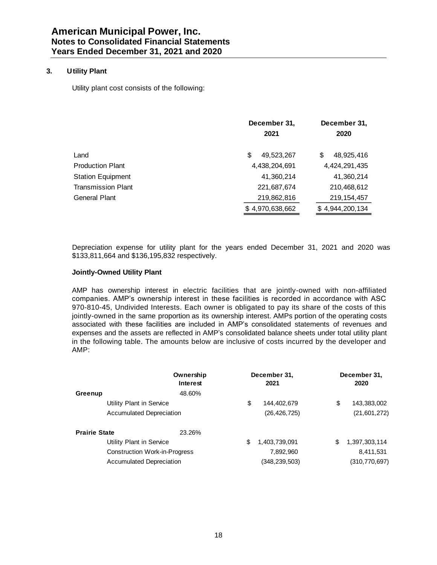# **3. Utility Plant**

Utility plant cost consists of the following:

|                           | December 31,<br>2021 | December 31,<br>2020 |
|---------------------------|----------------------|----------------------|
| Land                      | 49,523,267<br>S      | 48,925,416<br>S      |
| <b>Production Plant</b>   | 4,438,204,691        | 4,424,291,435        |
| <b>Station Equipment</b>  | 41,360,214           | 41,360,214           |
| <b>Transmission Plant</b> | 221,687,674          | 210,468,612          |
| General Plant             | 219,862,816          | 219, 154, 457        |
|                           | \$4,970,638,662      | \$4,944,200,134      |

Depreciation expense for utility plant for the years ended December 31, 2021 and 2020 was \$133,811,664 and \$136,195,832 respectively.

### **Jointly-Owned Utility Plant**

AMP has ownership interest in electric facilities that are jointly-owned with non-affiliated companies. AMP's ownership interest in these facilities is recorded in accordance with ASC 970-810-45, Undivided Interests. Each owner is obligated to pay its share of the costs of this jointly-owned in the same proportion as its ownership interest. AMPs portion of the operating costs associated with these facilities are included in AMP's consolidated statements of revenues and expenses and the assets are reflected in AMP's consolidated balance sheets under total utility plant in the following table. The amounts below are inclusive of costs incurred by the developer and AMP:

|                      |                                      | Ownership<br>Interest | December 31,<br>2021 | December 31,<br>2020 |
|----------------------|--------------------------------------|-----------------------|----------------------|----------------------|
| Greenup              |                                      | 48.60%                |                      |                      |
|                      | Utility Plant in Service             |                       | \$<br>144,402,679    | \$<br>143,383,002    |
|                      | <b>Accumulated Depreciation</b>      |                       | (26, 426, 725)       | (21, 601, 272)       |
| <b>Prairie State</b> |                                      | 23.26%                |                      |                      |
|                      | Utility Plant in Service             |                       | \$<br>1,403,739,091  | \$<br>1,397,303,114  |
|                      | <b>Construction Work-in-Progress</b> |                       | 7,892,960            | 8,411,531            |
|                      | <b>Accumulated Depreciation</b>      |                       | (348, 239, 503)      | (310, 770, 697)      |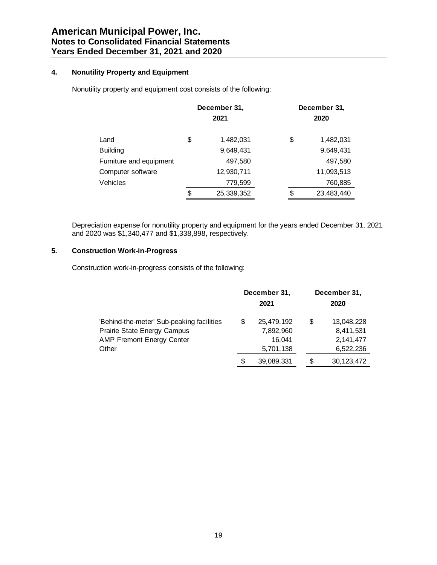# **4. Nonutility Property and Equipment**

Nonutility property and equipment cost consists of the following:

|                         | December 31,<br>2021 |    | December 31,<br>2020 |
|-------------------------|----------------------|----|----------------------|
| Land                    | \$<br>1,482,031      | \$ | 1,482,031            |
| <b>Building</b>         | 9,649,431            |    | 9,649,431            |
| Furniture and equipment | 497,580              |    | 497,580              |
| Computer software       | 12,930,711           |    | 11,093,513           |
| Vehicles                | 779,599              |    | 760,885              |
|                         | \$<br>25,339,352     | \$ | 23,483,440           |

Depreciation expense for nonutility property and equipment for the years ended December 31, 2021 and 2020 was \$1,340,477 and \$1,338,898, respectively.

# **5. Construction Work-in-Progress**

Construction work-in-progress consists of the following:

|                                                                                                                       |   | December 31,<br>2021                           |   | December 31,<br>2020                                |
|-----------------------------------------------------------------------------------------------------------------------|---|------------------------------------------------|---|-----------------------------------------------------|
| 'Behind-the-meter' Sub-peaking facilities<br>Prairie State Energy Campus<br><b>AMP Fremont Energy Center</b><br>Other |   | 25,479,192<br>7,892,960<br>16.041<br>5,701,138 | S | 13,048,228<br>8,411,531<br>2, 141, 477<br>6,522,236 |
|                                                                                                                       | S | 39,089,331                                     | S | 30, 123, 472                                        |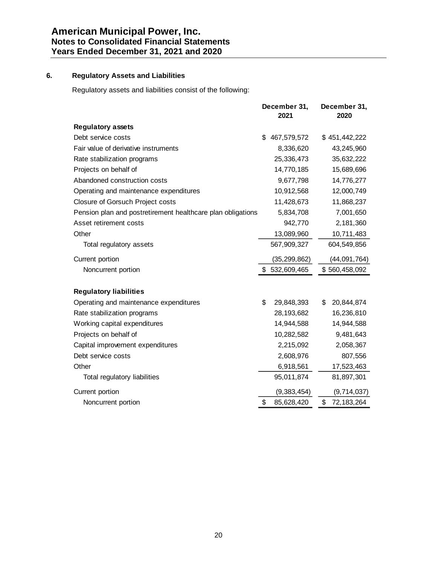# **6. Regulatory Assets and Liabilities**

Regulatory assets and liabilities consist of the following:

|                                                             | December 31,<br>2021 | December 31,<br>2020 |
|-------------------------------------------------------------|----------------------|----------------------|
| <b>Regulatory assets</b>                                    |                      |                      |
| Debt service costs                                          | \$<br>467,579,572    | \$451,442,222        |
| Fair value of derivative instruments                        | 8,336,620            | 43,245,960           |
| Rate stabilization programs                                 | 25,336,473           | 35,632,222           |
| Projects on behalf of                                       | 14,770,185           | 15,689,696           |
| Abandoned construction costs                                | 9,677,798            | 14,776,277           |
| Operating and maintenance expenditures                      | 10,912,568           | 12,000,749           |
| <b>Closure of Gorsuch Project costs</b>                     | 11,428,673           | 11,868,237           |
| Pension plan and postretirement healthcare plan obligations | 5,834,708            | 7,001,650            |
| Asset retirement costs                                      | 942,770              | 2,181,360            |
| Other                                                       | 13,089,960           | 10,711,483           |
| Total regulatory assets                                     | 567,909,327          | 604,549,856          |
| Current portion                                             | (35, 299, 862)       | (44,091,764)         |
| Noncurrent portion                                          | \$532,609,465        | \$560,458,092        |
| <b>Regulatory liabilities</b>                               |                      |                      |
| Operating and maintenance expenditures                      | \$<br>29,848,393     | \$<br>20,844,874     |
| Rate stabilization programs                                 | 28, 193, 682         | 16,236,810           |
| Working capital expenditures                                | 14,944,588           | 14,944,588           |
| Projects on behalf of                                       | 10,282,582           | 9,481,643            |
| Capital improvement expenditures                            | 2,215,092            | 2,058,367            |
| Debt service costs                                          | 2,608,976            | 807,556              |
| Other                                                       | 6,918,561            | 17,523,463           |
| Total regulatory liabilities                                | 95,011,874           | 81,897,301           |
| Current portion                                             | (9,383,454)          | (9,714,037)          |
| Noncurrent portion                                          | \$<br>85,628,420     | \$<br>72, 183, 264   |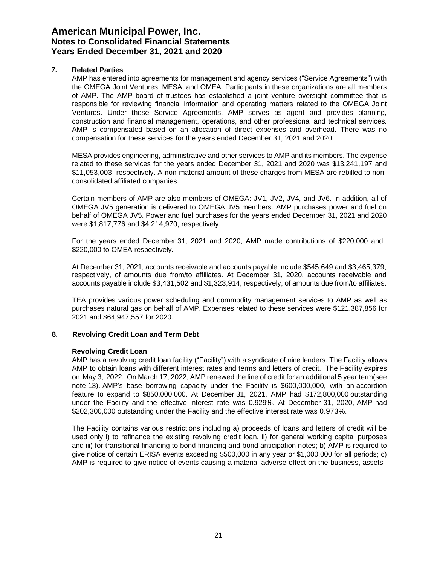# **7. Related Parties**

AMP has entered into agreements for management and agency services ("Service Agreements") with the OMEGA Joint Ventures, MESA, and OMEA. Participants in these organizations are all members of AMP. The AMP board of trustees has established a joint venture oversight committee that is responsible for reviewing financial information and operating matters related to the OMEGA Joint Ventures. Under these Service Agreements, AMP serves as agent and provides planning, construction and financial management, operations, and other professional and technical services. AMP is compensated based on an allocation of direct expenses and overhead. There was no compensation for these services for the years ended December 31, 2021 and 2020.

MESA provides engineering, administrative and other services to AMP and its members. The expense related to these services for the years ended December 31, 2021 and 2020 was \$13,241,197 and \$11,053,003, respectively. A non-material amount of these charges from MESA are rebilled to nonconsolidated affiliated companies.

Certain members of AMP are also members of OMEGA: JV1, JV2, JV4, and JV6. In addition, all of OMEGA JV5 generation is delivered to OMEGA JV5 members. AMP purchases power and fuel on behalf of OMEGA JV5. Power and fuel purchases for the years ended December 31, 2021 and 2020 were \$1,817,776 and \$4,214,970, respectively.

For the years ended December 31, 2021 and 2020, AMP made contributions of \$220,000 and \$220,000 to OMEA respectively.

At December 31, 2021, accounts receivable and accounts payable include \$545,649 and \$3,465,379, respectively, of amounts due from/to affiliates. At December 31, 2020, accounts receivable and accounts payable include \$3,431,502 and \$1,323,914, respectively, of amounts due from/to affiliates.

TEA provides various power scheduling and commodity management services to AMP as well as purchases natural gas on behalf of AMP. Expenses related to these services were \$121,387,856 for 2021 and \$64,947,557 for 2020.

#### **8. Revolving Credit Loan and Term Debt**

#### **Revolving Credit Loan**

AMP has a revolving credit loan facility ("Facility") with a syndicate of nine lenders. The Facility allows AMP to obtain loans with different interest rates and terms and letters of credit. The Facility expires on May 3, 2022. On March 17, 2022, AMP renewed the line of credit for an additional 5 year term(see note 13). AMP's base borrowing capacity under the Facility is \$600,000,000, with an accordion feature to expand to \$850,000,000. At December 31, 2021, AMP had \$172,800,000 outstanding under the Facility and the effective interest rate was 0.929%. At December 31, 2020, AMP had \$202,300,000 outstanding under the Facility and the effective interest rate was 0.973%.

The Facility contains various restrictions including a) proceeds of loans and letters of credit will be used only i) to refinance the existing revolving credit loan, ii) for general working capital purposes and iii) for transitional financing to bond financing and bond anticipation notes; b) AMP is required to give notice of certain ERISA events exceeding \$500,000 in any year or \$1,000,000 for all periods; c) AMP is required to give notice of events causing a material adverse effect on the business, assets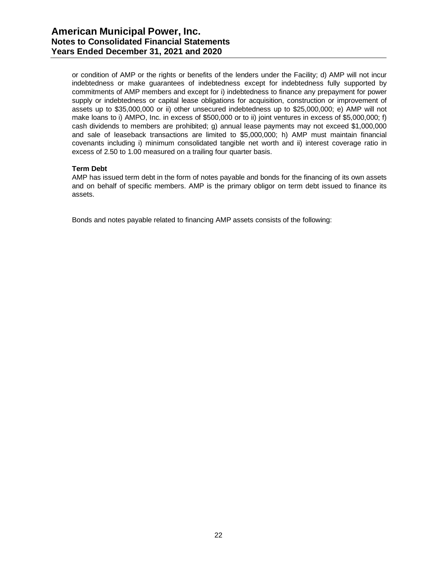or condition of AMP or the rights or benefits of the lenders under the Facility; d) AMP will not incur indebtedness or make guarantees of indebtedness except for indebtedness fully supported by commitments of AMP members and except for i) indebtedness to finance any prepayment for power supply or indebtedness or capital lease obligations for acquisition, construction or improvement of assets up to \$35,000,000 or ii) other unsecured indebtedness up to \$25,000,000; e) AMP will not make loans to i) AMPO, Inc. in excess of \$500,000 or to ii) joint ventures in excess of \$5,000,000; f) cash dividends to members are prohibited; g) annual lease payments may not exceed \$1,000,000 and sale of leaseback transactions are limited to \$5,000,000; h) AMP must maintain financial covenants including i) minimum consolidated tangible net worth and ii) interest coverage ratio in excess of 2.50 to 1.00 measured on a trailing four quarter basis.

# **Term Debt**

AMP has issued term debt in the form of notes payable and bonds for the financing of its own assets and on behalf of specific members. AMP is the primary obligor on term debt issued to finance its assets.

Bonds and notes payable related to financing AMP assets consists of the following: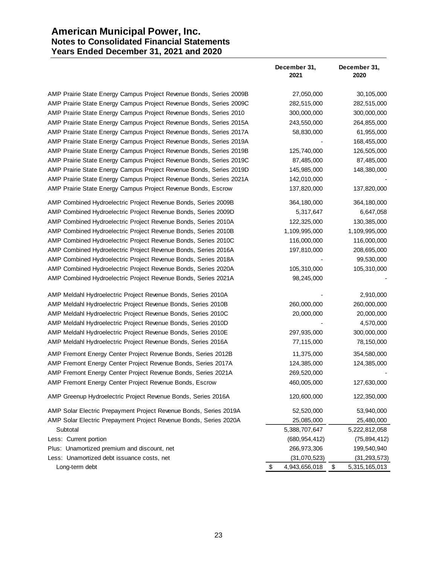# **American Municipal Power, Inc. Notes to Consolidated Financial Statements Years Ended December 31, 2021 and 2020**

|                                                                     | December 31,<br>2021 | December 31,<br>2020 |
|---------------------------------------------------------------------|----------------------|----------------------|
| AMP Prairie State Energy Campus Project Revenue Bonds, Series 2009B | 27,050,000           | 30,105,000           |
| AMP Prairie State Energy Campus Project Revenue Bonds, Series 2009C | 282,515,000          | 282,515,000          |
| AMP Prairie State Energy Campus Project Revenue Bonds, Series 2010  | 300,000,000          | 300,000,000          |
| AMP Prairie State Energy Campus Project Revenue Bonds, Series 2015A | 243,550,000          | 264,855,000          |
| AMP Prairie State Energy Campus Project Revenue Bonds, Series 2017A | 58,830,000           | 61,955,000           |
| AMP Prairie State Energy Campus Project Revenue Bonds, Series 2019A |                      | 168,455,000          |
| AMP Prairie State Energy Campus Project Revenue Bonds, Series 2019B | 125,740,000          | 126,505,000          |
| AMP Prairie State Energy Campus Project Revenue Bonds, Series 2019C | 87,485,000           | 87,485,000           |
| AMP Prairie State Energy Campus Project Revenue Bonds, Series 2019D | 145,985,000          | 148,380,000          |
| AMP Prairie State Energy Campus Project Revenue Bonds, Series 2021A | 142,010,000          |                      |
| AMP Prairie State Energy Campus Project Revenue Bonds, Escrow       | 137,820,000          | 137,820,000          |
| AMP Combined Hydroelectric Project Revenue Bonds, Series 2009B      | 364,180,000          | 364,180,000          |
| AMP Combined Hydroelectric Project Revenue Bonds, Series 2009D      | 5,317,647            | 6,647,058            |
| AMP Combined Hydroelectric Project Revenue Bonds, Series 2010A      | 122,325,000          | 130,385,000          |
| AMP Combined Hydroelectric Project Revenue Bonds, Series 2010B      | 1,109,995,000        | 1,109,995,000        |
| AMP Combined Hydroelectric Project Revenue Bonds, Series 2010C      | 116,000,000          | 116,000,000          |
| AMP Combined Hydroelectric Project Revenue Bonds, Series 2016A      | 197,810,000          | 208,695,000          |
| AMP Combined Hydroelectric Project Revenue Bonds, Series 2018A      |                      | 99,530,000           |
| AMP Combined Hydroelectric Project Revenue Bonds, Series 2020A      | 105,310,000          | 105,310,000          |
| AMP Combined Hydroelectric Project Revenue Bonds, Series 2021A      | 98,245,000           |                      |
| AMP Meldahl Hydroelectric Project Revenue Bonds, Series 2010A       |                      | 2,910,000            |
| AMP Meldahl Hydroelectric Project Revenue Bonds, Series 2010B       | 260,000,000          | 260,000,000          |
| AMP Meldahl Hydroelectric Project Revenue Bonds, Series 2010C       | 20,000,000           | 20,000,000           |
| AMP Meldahl Hydroelectric Project Revenue Bonds, Series 2010D       |                      | 4,570,000            |
| AMP Meldahl Hydroelectric Project Revenue Bonds, Series 2010E       | 297,935,000          | 300,000,000          |
| AMP Meldahl Hydroelectric Project Revenue Bonds, Series 2016A       | 77,115,000           | 78,150,000           |
| AMP Fremont Energy Center Project Revenue Bonds, Series 2012B       | 11,375,000           | 354,580,000          |
| AMP Fremont Energy Center Project Revenue Bonds, Series 2017A       | 124,385,000          | 124,385,000          |
| AMP Fremont Energy Center Project Revenue Bonds, Series 2021A       | 269,520,000          |                      |
| AMP Fremont Energy Center Project Revenue Bonds, Escrow             | 460,005,000          | 127,630,000          |
| AMP Greenup Hydroelectric Project Revenue Bonds, Series 2016A       | 120,600,000          | 122,350,000          |
| AMP Solar Electric Prepayment Project Revenue Bonds, Series 2019A   | 52,520,000           | 53,940,000           |
| AMP Solar Electric Prepayment Project Revenue Bonds, Series 2020A   | 25,085,000           | 25,480,000           |
| Subtotal                                                            | 5,388,707,647        | 5,222,812,058        |
| Less: Current portion                                               | (680, 954, 412)      | (75, 894, 412)       |
| Plus: Unamortized premium and discount, net                         | 266,973,306          | 199,540,940          |
| Less: Unamortized debt issuance costs, net                          | (31,070,523)         | (31, 293, 573)       |
| Long-term debt                                                      | 4,943,656,018<br>\$  | \$<br>5,315,165,013  |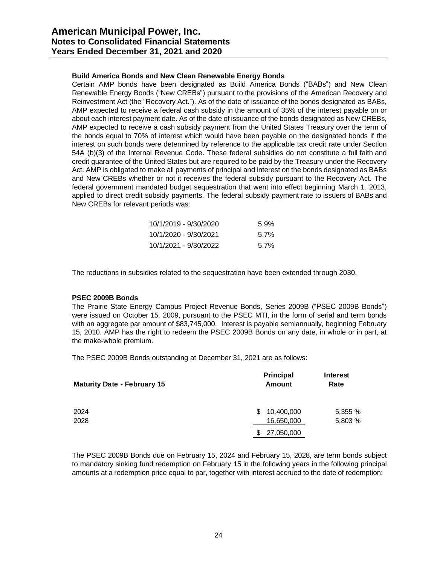# **Build America Bonds and New Clean Renewable Energy Bonds**

Certain AMP bonds have been designated as Build America Bonds ("BABs") and New Clean Renewable Energy Bonds ("New CREBs") pursuant to the provisions of the American Recovery and Reinvestment Act (the "Recovery Act."). As of the date of issuance of the bonds designated as BABs, AMP expected to receive a federal cash subsidy in the amount of 35% of the interest payable on or about each interest payment date. As of the date of issuance of the bonds designated as New CREBs, AMP expected to receive a cash subsidy payment from the United States Treasury over the term of the bonds equal to 70% of interest which would have been payable on the designated bonds if the interest on such bonds were determined by reference to the applicable tax credit rate under Section 54A (b)(3) of the Internal Revenue Code. These federal subsidies do not constitute a full faith and credit guarantee of the United States but are required to be paid by the Treasury under the Recovery Act. AMP is obligated to make all payments of principal and interest on the bonds designated as BABs and New CREBs whether or not it receives the federal subsidy pursuant to the Recovery Act. The federal government mandated budget sequestration that went into effect beginning March 1, 2013, applied to direct credit subsidy payments. The federal subsidy payment rate to issuers of BABs and New CREBs for relevant periods was:

| 10/1/2019 - 9/30/2020 | $5.9\%$ |
|-----------------------|---------|
| 10/1/2020 - 9/30/2021 | $5.7\%$ |
| 10/1/2021 - 9/30/2022 | $5.7\%$ |

The reductions in subsidies related to the sequestration have been extended through 2030.

### **PSEC 2009B Bonds**

The Prairie State Energy Campus Project Revenue Bonds, Series 2009B ("PSEC 2009B Bonds") were issued on October 15, 2009, pursuant to the PSEC MTI, in the form of serial and term bonds with an aggregate par amount of \$83,745,000. Interest is payable semiannually, beginning February 15, 2010. AMP has the right to redeem the PSEC 2009B Bonds on any date, in whole or in part, at the make-whole premium.

The PSEC 2009B Bonds outstanding at December 31, 2021 are as follows:

| <b>Maturity Date - February 15</b> | Principal<br><b>Amount</b>      | Interest<br>Rate  |
|------------------------------------|---------------------------------|-------------------|
| 2024<br>2028                       | 10,400,000<br>\$.<br>16,650,000 | 5.355%<br>5.803 % |
|                                    | 27,050,000<br>S.                |                   |

The PSEC 2009B Bonds due on February 15, 2024 and February 15, 2028, are term bonds subject to mandatory sinking fund redemption on February 15 in the following years in the following principal amounts at a redemption price equal to par, together with interest accrued to the date of redemption: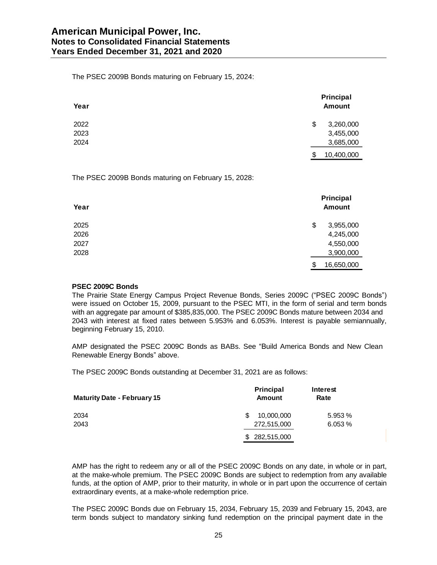The PSEC 2009B Bonds maturing on February 15, 2024:

| Year | Principal<br><b>Amount</b> |
|------|----------------------------|
| 2022 | \$<br>3,260,000            |
| 2023 | 3,455,000                  |
| 2024 | 3,685,000                  |
|      | \$<br>10,400,000           |

The PSEC 2009B Bonds maturing on February 15, 2028:

| Year | Principal<br><b>Amount</b> |
|------|----------------------------|
| 2025 | \$<br>3,955,000            |
| 2026 | 4,245,000                  |
| 2027 | 4,550,000                  |
| 2028 | 3,900,000                  |
|      | \$<br>16,650,000           |

# **PSEC 2009C Bonds**

The Prairie State Energy Campus Project Revenue Bonds, Series 2009C ("PSEC 2009C Bonds") were issued on October 15, 2009, pursuant to the PSEC MTI, in the form of serial and term bonds with an aggregate par amount of \$385,835,000. The PSEC 2009C Bonds mature between 2034 and 2043 with interest at fixed rates between 5.953% and 6.053%. Interest is payable semiannually, beginning February 15, 2010.

AMP designated the PSEC 2009C Bonds as BABs. See "Build America Bonds and New Clean Renewable Energy Bonds" above.

The PSEC 2009C Bonds outstanding at December 31, 2021 are as follows:

| <b>Maturity Date - February 15</b> | Principal<br>Amount | Interest<br>Rate |
|------------------------------------|---------------------|------------------|
| 2034                               | 10,000,000<br>S     | 5.953 %          |
| 2043                               | 272,515,000         | 6.053%           |
|                                    | \$282,515,000       |                  |

AMP has the right to redeem any or all of the PSEC 2009C Bonds on any date, in whole or in part, at the make-whole premium. The PSEC 2009C Bonds are subject to redemption from any available funds, at the option of AMP, prior to their maturity, in whole or in part upon the occurrence of certain extraordinary events, at a make-whole redemption price.

The PSEC 2009C Bonds due on February 15, 2034, February 15, 2039 and February 15, 2043, are term bonds subject to mandatory sinking fund redemption on the principal payment date in the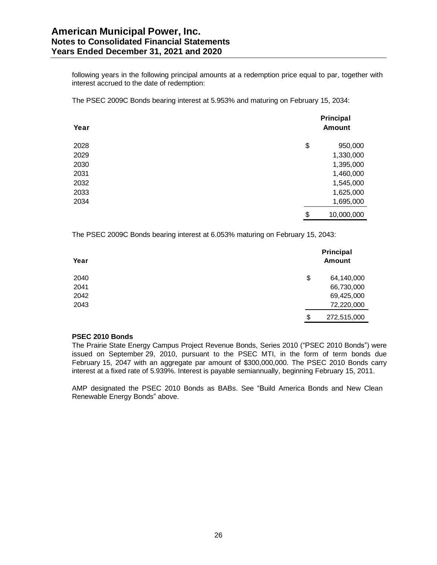following years in the following principal amounts at a redemption price equal to par, together with interest accrued to the date of redemption:

The PSEC 2009C Bonds bearing interest at 5.953% and maturing on February 15, 2034:

| Year | Principal<br><b>Amount</b> |
|------|----------------------------|
| 2028 | \$<br>950,000              |
| 2029 | 1,330,000                  |
| 2030 | 1,395,000                  |
| 2031 | 1,460,000                  |
| 2032 | 1,545,000                  |
| 2033 | 1,625,000                  |
| 2034 | 1,695,000                  |
|      | \$<br>10,000,000           |

The PSEC 2009C Bonds bearing interest at 6.053% maturing on February 15, 2043:

| Year | Principal<br><b>Amount</b> |
|------|----------------------------|
| 2040 | \$<br>64,140,000           |
| 2041 | 66,730,000                 |
| 2042 | 69,425,000                 |
| 2043 | 72,220,000                 |
|      | \$<br>272,515,000          |

#### **PSEC 2010 Bonds**

The Prairie State Energy Campus Project Revenue Bonds, Series 2010 ("PSEC 2010 Bonds") were issued on September 29, 2010, pursuant to the PSEC MTI, in the form of term bonds due February 15, 2047 with an aggregate par amount of \$300,000,000. The PSEC 2010 Bonds carry interest at a fixed rate of 5.939%. Interest is payable semiannually, beginning February 15, 2011.

AMP designated the PSEC 2010 Bonds as BABs. See "Build America Bonds and New Clean Renewable Energy Bonds" above.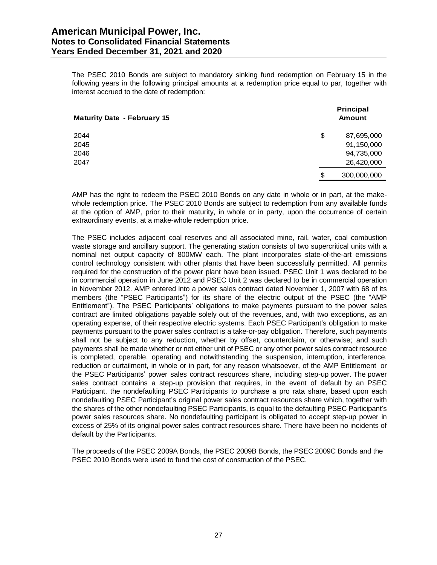# **American Municipal Power, Inc. Notes to Consolidated Financial Statements Years Ended December 31, 2021 and 2020**

The PSEC 2010 Bonds are subject to mandatory sinking fund redemption on February 15 in the following years in the following principal amounts at a redemption price equal to par, together with interest accrued to the date of redemption:

| <b>Maturity Date - February 15</b> |    | Principal<br><b>Amount</b> |  |  |
|------------------------------------|----|----------------------------|--|--|
| 2044                               | \$ | 87,695,000                 |  |  |
| 2045                               |    | 91,150,000                 |  |  |
| 2046                               |    | 94,735,000                 |  |  |
| 2047                               |    | 26,420,000                 |  |  |
|                                    | S  | 300,000,000                |  |  |

AMP has the right to redeem the PSEC 2010 Bonds on any date in whole or in part, at the makewhole redemption price. The PSEC 2010 Bonds are subject to redemption from any available funds at the option of AMP, prior to their maturity, in whole or in party, upon the occurrence of certain extraordinary events, at a make-whole redemption price.

The PSEC includes adjacent coal reserves and all associated mine, rail, water, coal combustion waste storage and ancillary support. The generating station consists of two supercritical units with a nominal net output capacity of 800MW each. The plant incorporates state-of-the-art emissions control technology consistent with other plants that have been successfully permitted. All permits required for the construction of the power plant have been issued. PSEC Unit 1 was declared to be in commercial operation in June 2012 and PSEC Unit 2 was declared to be in commercial operation in November 2012. AMP entered into a power sales contract dated November 1, 2007 with 68 of its members (the "PSEC Participants") for its share of the electric output of the PSEC (the "AMP Entitlement"). The PSEC Participants' obligations to make payments pursuant to the power sales contract are limited obligations payable solely out of the revenues, and, with two exceptions, as an operating expense, of their respective electric systems. Each PSEC Participant's obligation to make payments pursuant to the power sales contract is a take-or-pay obligation. Therefore, such payments shall not be subject to any reduction, whether by offset, counterclaim, or otherwise; and such payments shall be made whether or not either unit of PSEC or any other power sales contract resource is completed, operable, operating and notwithstanding the suspension, interruption, interference, reduction or curtailment, in whole or in part, for any reason whatsoever, of the AMP Entitlement or the PSEC Participants' power sales contract resources share, including step-up power. The power sales contract contains a step-up provision that requires, in the event of default by an PSEC Participant, the nondefaulting PSEC Participants to purchase a pro rata share, based upon each nondefaulting PSEC Participant's original power sales contract resources share which, together with the shares of the other nondefaulting PSEC Participants, is equal to the defaulting PSEC Participant's power sales resources share. No nondefaulting participant is obligated to accept step-up power in excess of 25% of its original power sales contract resources share. There have been no incidents of default by the Participants.

The proceeds of the PSEC 2009A Bonds, the PSEC 2009B Bonds, the PSEC 2009C Bonds and the PSEC 2010 Bonds were used to fund the cost of construction of the PSEC.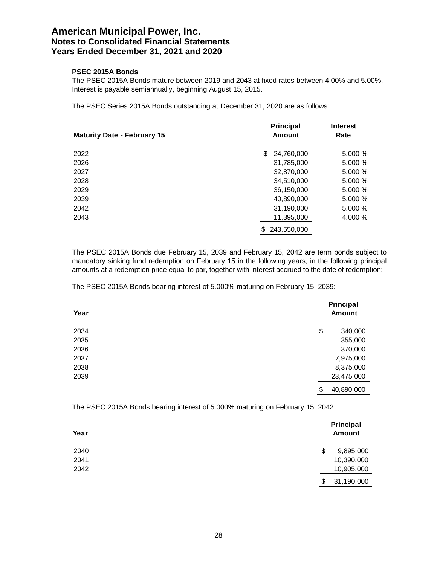# **PSEC 2015A Bonds**

The PSEC 2015A Bonds mature between 2019 and 2043 at fixed rates between 4.00% and 5.00%. Interest is payable semiannually, beginning August 15, 2015.

The PSEC Series 2015A Bonds outstanding at December 31, 2020 are as follows:

| <b>Maturity Date - February 15</b> | Principal<br><b>Amount</b> | <b>Interest</b><br>Rate |
|------------------------------------|----------------------------|-------------------------|
| 2022                               | 24,760,000<br>S            | 5.000 %                 |
| 2026                               | 31,785,000                 | 5.000 %                 |
| 2027                               | 32,870,000                 | 5.000 %                 |
| 2028                               | 34,510,000                 | 5.000 %                 |
| 2029                               | 36,150,000                 | 5.000 %                 |
| 2039                               | 40,890,000                 | 5.000 %                 |
| 2042                               | 31,190,000                 | 5.000 %                 |
| 2043                               | 11,395,000                 | 4.000 %                 |
|                                    | 243,550,000                |                         |

The PSEC 2015A Bonds due February 15, 2039 and February 15, 2042 are term bonds subject to mandatory sinking fund redemption on February 15 in the following years, in the following principal amounts at a redemption price equal to par, together with interest accrued to the date of redemption:

The PSEC 2015A Bonds bearing interest of 5.000% maturing on February 15, 2039:

| Year | Principal<br><b>Amount</b> |  |
|------|----------------------------|--|
| 2034 | \$<br>340,000              |  |
| 2035 | 355,000                    |  |
| 2036 | 370,000                    |  |
| 2037 | 7,975,000                  |  |
| 2038 | 8,375,000                  |  |
| 2039 | 23,475,000                 |  |
|      | \$<br>40,890,000           |  |

The PSEC 2015A Bonds bearing interest of 5.000% maturing on February 15, 2042:

| Year | Principal<br><b>Amount</b> |
|------|----------------------------|
| 2040 | \$<br>9,895,000            |
| 2041 | 10,390,000                 |
| 2042 | 10,905,000                 |
|      | \$<br>31,190,000           |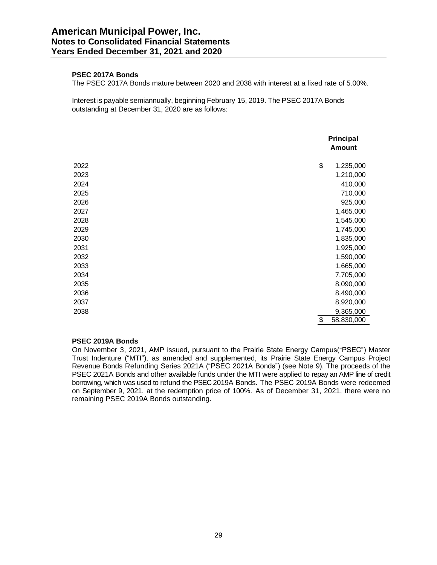# **PSEC 2017A Bonds**

The PSEC 2017A Bonds mature between 2020 and 2038 with interest at a fixed rate of 5.00%.

Interest is payable semiannually, beginning February 15, 2019. The PSEC 2017A Bonds outstanding at December 31, 2020 are as follows:

|      | Principal<br><b>Amount</b> |
|------|----------------------------|
| 2022 | \$<br>1,235,000            |
| 2023 | 1,210,000                  |
| 2024 | 410,000                    |
| 2025 | 710,000                    |
| 2026 | 925,000                    |
| 2027 | 1,465,000                  |
| 2028 | 1,545,000                  |
| 2029 | 1,745,000                  |
| 2030 | 1,835,000                  |
| 2031 | 1,925,000                  |
| 2032 | 1,590,000                  |
| 2033 | 1,665,000                  |
| 2034 | 7,705,000                  |
| 2035 | 8,090,000                  |
| 2036 | 8,490,000                  |
| 2037 | 8,920,000                  |
| 2038 | 9,365,000                  |
|      | \$<br>58,830,000           |

#### **PSEC 2019A Bonds**

On November 3, 2021, AMP issued, pursuant to the Prairie State Energy Campus("PSEC") Master Trust Indenture ("MTI"), as amended and supplemented, its Prairie State Energy Campus Project Revenue Bonds Refunding Series 2021A ("PSEC 2021A Bonds") (see Note 9). The proceeds of the PSEC 2021A Bonds and other available funds under the MTI were applied to repay an AMP line of credit borrowing, which was used to refund the PSEC 2019A Bonds. The PSEC 2019A Bonds were redeemed on September 9, 2021, at the redemption price of 100%. As of December 31, 2021, there were no remaining PSEC 2019A Bonds outstanding.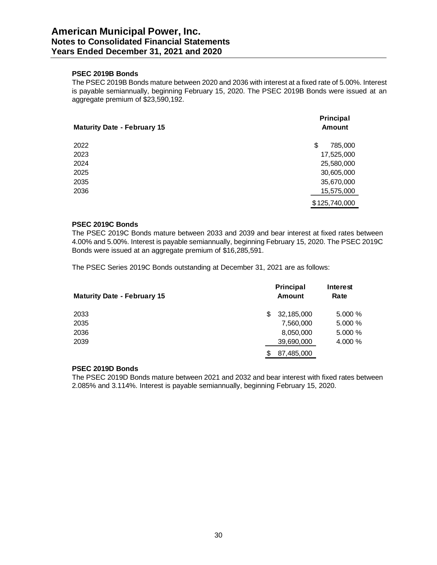## **PSEC 2019B Bonds**

The PSEC 2019B Bonds mature between 2020 and 2036 with interest at a fixed rate of 5.00%. Interest is payable semiannually, beginning February 15, 2020. The PSEC 2019B Bonds were issued at an aggregate premium of \$23,590,192.

| <b>Maturity Date - February 15</b> | Principal<br><b>Amount</b> |
|------------------------------------|----------------------------|
| 2022                               | \$<br>785,000              |
| 2023                               | 17,525,000                 |
| 2024                               | 25,580,000                 |
| 2025                               | 30,605,000                 |
| 2035                               | 35,670,000                 |
| 2036                               | 15,575,000                 |
|                                    | \$125,740,000              |

# **PSEC 2019C Bonds**

The PSEC 2019C Bonds mature between 2033 and 2039 and bear interest at fixed rates between 4.00% and 5.00%. Interest is payable semiannually, beginning February 15, 2020. The PSEC 2019C Bonds were issued at an aggregate premium of \$16,285,591.

The PSEC Series 2019C Bonds outstanding at December 31, 2021 are as follows:

| <b>Maturity Date - February 15</b> |    | <b>Principal</b><br>Amount | Interest<br>Rate |
|------------------------------------|----|----------------------------|------------------|
| 2033                               | S  | 32,185,000                 | 5.000%           |
| 2035                               |    | 7,560,000                  | 5.000%           |
| 2036                               |    | 8,050,000                  | 5.000%           |
| 2039                               |    | 39,690,000                 | 4.000 %          |
|                                    | \$ | 87,485,000                 |                  |

# **PSEC 2019D Bonds**

The PSEC 2019D Bonds mature between 2021 and 2032 and bear interest with fixed rates between 2.085% and 3.114%. Interest is payable semiannually, beginning February 15, 2020.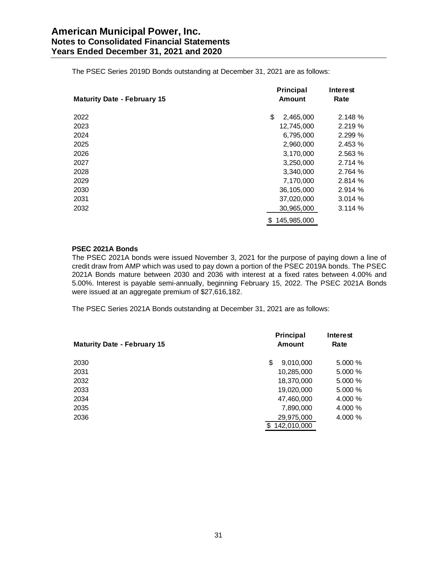The PSEC Series 2019D Bonds outstanding at December 31, 2021 are as follows:

| <b>Maturity Date - February 15</b> | Principal<br><b>Amount</b> | Interest<br>Rate |
|------------------------------------|----------------------------|------------------|
| 2022                               | \$<br>2,465,000            | 2.148%           |
| 2023                               | 12,745,000                 | 2.219%           |
| 2024                               | 6,795,000                  | 2.299 %          |
| 2025                               | 2,960,000                  | 2.453 %          |
| 2026                               | 3,170,000                  | 2.563 %          |
| 2027                               | 3,250,000                  | 2.714 %          |
| 2028                               | 3,340,000                  | 2.764 %          |
| 2029                               | 7,170,000                  | 2.814 %          |
| 2030                               | 36,105,000                 | 2.914 %          |
| 2031                               | 37,020,000                 | 3.014%           |
| 2032                               | 30,965,000                 | 3.114%           |
|                                    | \$<br>145,985,000          |                  |

# **PSEC 2021A Bonds**

The PSEC 2021A bonds were issued November 3, 2021 for the purpose of paying down a line of credit draw from AMP which was used to pay down a portion of the PSEC 2019A bonds. The PSEC 2021A Bonds mature between 2030 and 2036 with interest at a fixed rates between 4.00% and 5.00%. Interest is payable semi-annually, beginning February 15, 2022. The PSEC 2021A Bonds were issued at an aggregate premium of \$27,616,182.

The PSEC Series 2021A Bonds outstanding at December 31, 2021 are as follows:

| <b>Maturity Date - February 15</b> | <b>Principal</b><br><b>Amount</b> | Interest<br>Rate |
|------------------------------------|-----------------------------------|------------------|
| 2030                               | 9,010,000<br>S                    | 5.000 %          |
| 2031                               | 10,285,000                        | 5.000 %          |
| 2032                               | 18,370,000                        | 5.000 %          |
| 2033                               | 19,020,000                        | 5.000%           |
| 2034                               | 47,460,000                        | 4.000 %          |
| 2035                               | 7,890,000                         | 4.000 %          |
| 2036                               | 29,975,000                        | 4.000 %          |
|                                    | 142.010.000<br>\$.                |                  |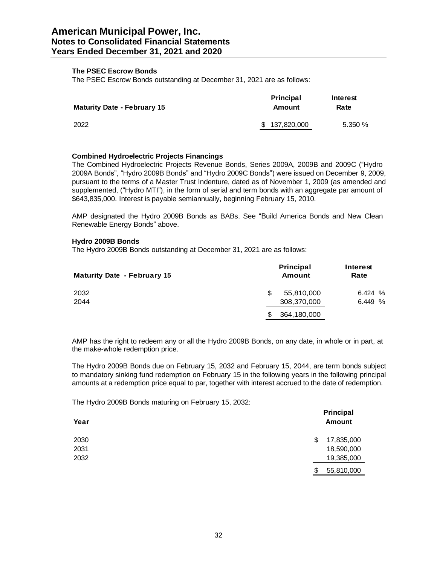# **The PSEC Escrow Bonds**

The PSEC Escrow Bonds outstanding at December 31, 2021 are as follows:

| <b>Maturity Date - February 15</b> | <b>Principal</b><br>Amount | Interest<br>Rate |
|------------------------------------|----------------------------|------------------|
| 2022                               | \$137,820,000              | 5.350%           |

# **Combined Hydroelectric Projects Financings**

The Combined Hydroelectric Projects Revenue Bonds, Series 2009A, 2009B and 2009C ("Hydro 2009A Bonds", "Hydro 2009B Bonds" and "Hydro 2009C Bonds") were issued on December 9, 2009, pursuant to the terms of a Master Trust Indenture, dated as of November 1, 2009 (as amended and supplemented, ("Hydro MTI"), in the form of serial and term bonds with an aggregate par amount of \$643,835,000. Interest is payable semiannually, beginning February 15, 2010.

AMP designated the Hydro 2009B Bonds as BABs. See "Build America Bonds and New Clean Renewable Energy Bonds" above.

# **Hydro 2009B Bonds**

The Hydro 2009B Bonds outstanding at December 31, 2021 are as follows:

| <b>Maturity Date - February 15</b> | <b>Principal</b><br><b>Amount</b> | Interest<br>Rate |
|------------------------------------|-----------------------------------|------------------|
| 2032                               | 55,810,000<br>ß.                  | 6.424%           |
| 2044                               | 308,370,000                       | 6.449%           |
|                                    | 364,180,000                       |                  |

AMP has the right to redeem any or all the Hydro 2009B Bonds, on any date, in whole or in part, at the make-whole redemption price.

The Hydro 2009B Bonds due on February 15, 2032 and February 15, 2044, are term bonds subject to mandatory sinking fund redemption on February 15 in the following years in the following principal amounts at a redemption price equal to par, together with interest accrued to the date of redemption.

The Hydro 2009B Bonds maturing on February 15, 2032:

| Year | <b>Principal</b><br><b>Amount</b> |
|------|-----------------------------------|
| 2030 | 17,835,000<br>\$                  |
| 2031 | 18,590,000                        |
| 2032 | 19,385,000                        |
|      | 55,810,000<br>\$                  |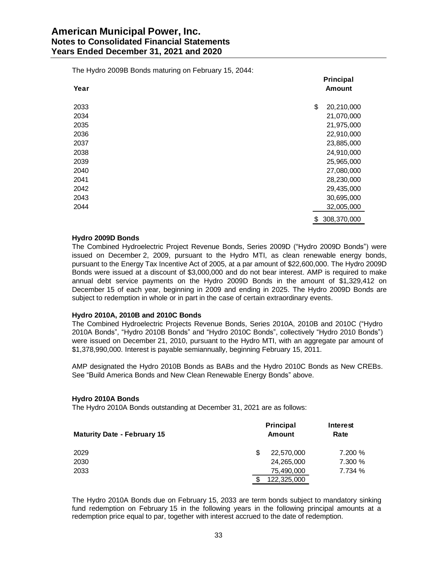The Hydro 2009B Bonds maturing on February 15, 2044:

| Year | Principal<br><b>Amount</b> |
|------|----------------------------|
|      |                            |
| 2033 | \$<br>20,210,000           |
| 2034 | 21,070,000                 |
| 2035 | 21,975,000                 |
| 2036 | 22,910,000                 |
| 2037 | 23,885,000                 |
| 2038 | 24,910,000                 |
| 2039 | 25,965,000                 |
| 2040 | 27,080,000                 |
| 2041 | 28,230,000                 |
| 2042 | 29,435,000                 |
| 2043 | 30,695,000                 |
| 2044 | 32,005,000                 |
|      | \$<br>308,370,000          |

#### **Hydro 2009D Bonds**

The Combined Hydroelectric Project Revenue Bonds, Series 2009D ("Hydro 2009D Bonds") were issued on December 2, 2009, pursuant to the Hydro MTI, as clean renewable energy bonds, pursuant to the Energy Tax Incentive Act of 2005, at a par amount of \$22,600,000. The Hydro 2009D Bonds were issued at a discount of \$3,000,000 and do not bear interest. AMP is required to make annual debt service payments on the Hydro 2009D Bonds in the amount of \$1,329,412 on December 15 of each year, beginning in 2009 and ending in 2025. The Hydro 2009D Bonds are subject to redemption in whole or in part in the case of certain extraordinary events.

#### **Hydro 2010A, 2010B and 2010C Bonds**

The Combined Hydroelectric Projects Revenue Bonds, Series 2010A, 2010B and 2010C ("Hydro 2010A Bonds", "Hydro 2010B Bonds" and "Hydro 2010C Bonds", collectively "Hydro 2010 Bonds") were issued on December 21, 2010, pursuant to the Hydro MTI, with an aggregate par amount of \$1,378,990,000. Interest is payable semiannually, beginning February 15, 2011.

AMP designated the Hydro 2010B Bonds as BABs and the Hydro 2010C Bonds as New CREBs. See "Build America Bonds and New Clean Renewable Energy Bonds" above.

#### **Hydro 2010A Bonds**

The Hydro 2010A Bonds outstanding at December 31, 2021 are as follows:

| <b>Maturity Date - February 15</b> | <b>Principal</b><br><b>Amount</b> |         |
|------------------------------------|-----------------------------------|---------|
| 2029                               | 22,570,000                        | 7.200 % |
| 2030                               | 24,265,000                        | 7.300 % |
| 2033                               | 75,490,000                        | 7.734 % |
|                                    | 122,325,000                       |         |

The Hydro 2010A Bonds due on February 15, 2033 are term bonds subject to mandatory sinking fund redemption on February 15 in the following years in the following principal amounts at a redemption price equal to par, together with interest accrued to the date of redemption.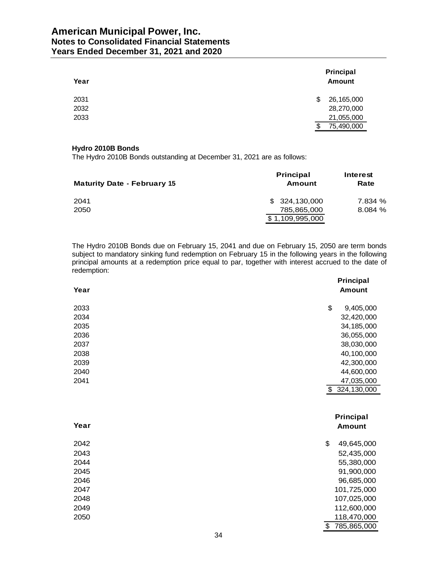# **American Municipal Power, Inc. Notes to Consolidated Financial Statements Years Ended December 31, 2021 and 2020**

| Year | Principal<br><b>Amount</b> |
|------|----------------------------|
| 2031 | 26,165,000<br>S            |
| 2032 | 28,270,000                 |
| 2033 | 21,055,000                 |
|      | 75,490,000<br>S            |

# **Hydro 2010B Bonds**

The Hydro 2010B Bonds outstanding at December 31, 2021 are as follows:

| <b>Maturity Date - February 15</b> | <b>Principal</b><br><b>Amount</b> | Interest<br>Rate |
|------------------------------------|-----------------------------------|------------------|
| 2041                               | \$324.130.000                     | 7.834 %          |
| 2050                               | 785.865.000                       | 8.084 %          |
|                                    | \$1,109,995,000                   |                  |

The Hydro 2010B Bonds due on February 15, 2041 and due on February 15, 2050 are term bonds subject to mandatory sinking fund redemption on February 15 in the following years in the following principal amounts at a redemption price equal to par, together with interest accrued to the date of redemption:

| Year | <b>Principal</b><br><b>Amount</b> |  |
|------|-----------------------------------|--|
| 2033 | \$<br>9,405,000                   |  |
| 2034 | 32,420,000                        |  |
| 2035 | 34,185,000                        |  |
| 2036 | 36,055,000                        |  |
| 2037 | 38,030,000                        |  |
| 2038 | 40,100,000                        |  |
| 2039 | 42,300,000                        |  |
| 2040 | 44,600,000                        |  |
| 2041 | 47,035,000                        |  |
|      | \$ 324,130,000                    |  |
|      |                                   |  |
| Year | Principal                         |  |
|      | <b>Amount</b>                     |  |
| 2042 | \$<br>49,645,000                  |  |
| 2043 | 52,435,000                        |  |
| 2044 | 55,380,000                        |  |
| 2045 | 91,900,000                        |  |
| 2046 | 96,685,000                        |  |
| 2047 | 101,725,000                       |  |
| 2048 | 107,025,000                       |  |
| 2049 | 112,600,000                       |  |
| 2050 | 118,470,000                       |  |
|      | \$<br>785,865,000                 |  |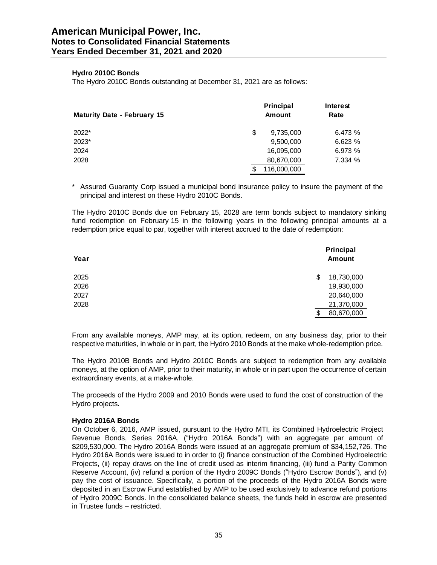# **Hydro 2010C Bonds**

The Hydro 2010C Bonds outstanding at December 31, 2021 are as follows:

|                                    | <b>Principal</b><br><b>Amount</b> |             | Interest<br>Rate |  |
|------------------------------------|-----------------------------------|-------------|------------------|--|
| <b>Maturity Date - February 15</b> |                                   |             |                  |  |
| 2022*                              | S                                 | 9,735,000   | 6.473%           |  |
| 2023*                              |                                   | 9,500,000   | 6.623%           |  |
| 2024                               |                                   | 16,095,000  | 6.973%           |  |
| 2028                               |                                   | 80,670,000  | 7.334 %          |  |
|                                    |                                   | 116,000,000 |                  |  |

\* Assured Guaranty Corp issued a municipal bond insurance policy to insure the payment of the principal and interest on these Hydro 2010C Bonds.

The Hydro 2010C Bonds due on February 15, 2028 are term bonds subject to mandatory sinking fund redemption on February 15 in the following years in the following principal amounts at a redemption price equal to par, together with interest accrued to the date of redemption:

| Year | Principal<br><b>Amount</b> |
|------|----------------------------|
| 2025 | 18,730,000<br>\$           |
| 2026 | 19,930,000                 |
| 2027 | 20,640,000                 |
| 2028 | 21,370,000                 |
|      | 80,670,000<br>\$           |

From any available moneys, AMP may, at its option, redeem, on any business day, prior to their respective maturities, in whole or in part, the Hydro 2010 Bonds at the make whole-redemption price.

The Hydro 2010B Bonds and Hydro 2010C Bonds are subject to redemption from any available moneys, at the option of AMP, prior to their maturity, in whole or in part upon the occurrence of certain extraordinary events, at a make-whole.

The proceeds of the Hydro 2009 and 2010 Bonds were used to fund the cost of construction of the Hydro projects.

#### **Hydro 2016A Bonds**

On October 6, 2016, AMP issued, pursuant to the Hydro MTI, its Combined Hydroelectric Project Revenue Bonds, Series 2016A, ("Hydro 2016A Bonds") with an aggregate par amount of \$209,530,000. The Hydro 2016A Bonds were issued at an aggregate premium of \$34,152,726. The Hydro 2016A Bonds were issued to in order to (i) finance construction of the Combined Hydroelectric Projects, (ii) repay draws on the line of credit used as interim financing, (iii) fund a Parity Common Reserve Account, (iv) refund a portion of the Hydro 2009C Bonds ("Hydro Escrow Bonds"), and (v) pay the cost of issuance. Specifically, a portion of the proceeds of the Hydro 2016A Bonds were deposited in an Escrow Fund established by AMP to be used exclusively to advance refund portions of Hydro 2009C Bonds. In the consolidated balance sheets, the funds held in escrow are presented in Trustee funds – restricted.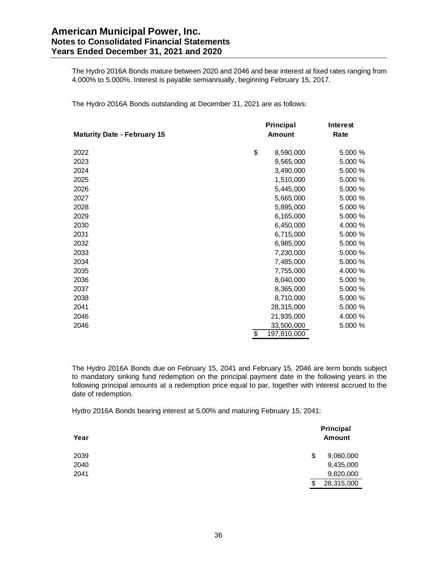# **American Municipal Power, Inc. Notes to Consolidated Financial Statements Years Ended December 31, 2021 and 2020**

The Hydro 2016A Bonds mature between 2020 and 2046 and bear interest at fixed rates ranging from 4.000% to 5.000%. Interest is payable semiannually, beginning February 15, 2017.

The Hydro 2016A Bonds outstanding at December 31, 2021 are as follows:

|                                    | Principal         | <b>Interest</b> |
|------------------------------------|-------------------|-----------------|
| <b>Maturity Date - February 15</b> | <b>Amount</b>     | Rate            |
| 2022                               | \$<br>8,590,000   | 5.000 %         |
| 2023                               | 9,565,000         | 5.000 %         |
| 2024                               | 3,490,000         | 5.000 %         |
| 2025                               | 1,510,000         | 5.000 %         |
| 2026                               | 5,445,000         | 5.000 %         |
| 2027                               | 5,665,000         | 5.000 %         |
| 2028                               | 5,895,000         | 5.000 %         |
| 2029                               | 6,165,000         | 5.000 %         |
| 2030                               | 6,450,000         | 4.000 %         |
| 2031                               | 6,715,000         | 5.000 %         |
| 2032                               | 6,985,000         | 5.000 %         |
| 2033                               | 7,230,000         | 5.000 %         |
| 2034                               | 7,485,000         | 5.000 %         |
| 2035                               | 7,755,000         | 4.000 %         |
| 2036                               | 8,040,000         | 5.000 %         |
| 2037                               | 8,365,000         | 5.000 %         |
| 2038                               | 8,710,000         | 5.000 %         |
| 2041                               | 28,315,000        | 5.000 %         |
| 2046                               | 21,935,000        | 4.000 %         |
| 2046                               | 33,500,000        | 5.000 %         |
|                                    | \$<br>197,810,000 |                 |

The Hydro 2016A Bonds due on February 15, 2041 and February 15, 2046 are term bonds subject to mandatory sinking fund redemption on the principal payment date in the following years in the following principal amounts at a redemption price equal to par, together with interest accrued to the date of redemption.

Hydro 2016A Bonds bearing interest at 5.00% and maturing February 15, 2041:

| Year |    | Principal<br><b>Amount</b> |
|------|----|----------------------------|
| 2039 | \$ | 9,060,000                  |
| 2040 |    | 9,435,000                  |
| 2041 |    | 9,820,000                  |
|      | S  | 28,315,000                 |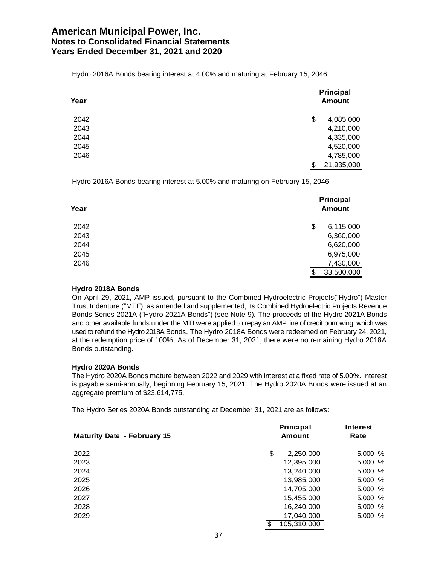Hydro 2016A Bonds bearing interest at 4.00% and maturing at February 15, 2046:

| Year | Principal<br><b>Amount</b> |
|------|----------------------------|
| 2042 | \$<br>4,085,000            |
| 2043 | 4,210,000                  |
| 2044 | 4,335,000                  |
| 2045 | 4,520,000                  |
| 2046 | 4,785,000                  |
|      | \$<br>21,935,000           |

Hydro 2016A Bonds bearing interest at 5.00% and maturing on February 15, 2046:

| Year | Principal<br><b>Amount</b> |
|------|----------------------------|
| 2042 | \$<br>6,115,000            |
| 2043 | 6,360,000                  |
| 2044 | 6,620,000                  |
| 2045 | 6,975,000                  |
| 2046 | 7,430,000                  |
|      | 33,500,000<br>\$           |

### **Hydro 2018A Bonds**

On April 29, 2021, AMP issued, pursuant to the Combined Hydroelectric Projects("Hydro") Master Trust Indenture ("MTI"), as amended and supplemented, its Combined Hydroelectric Projects Revenue Bonds Series 2021A ("Hydro 2021A Bonds") (see Note 9). The proceeds of the Hydro 2021A Bonds and other available funds under the MTI were applied to repay an AMP line of credit borrowing, which was used to refund the Hydro 2018A Bonds. The Hydro 2018A Bonds were redeemed on February 24, 2021, at the redemption price of 100%. As of December 31, 2021, there were no remaining Hydro 2018A Bonds outstanding.

#### **Hydro 2020A Bonds**

The Hydro 2020A Bonds mature between 2022 and 2029 with interest at a fixed rate of 5.00%. Interest is payable semi-annually, beginning February 15, 2021. The Hydro 2020A Bonds were issued at an aggregate premium of \$23,614,775.

The Hydro Series 2020A Bonds outstanding at December 31, 2021 are as follows:

| <b>Maturity Date - February 15</b> | Principal<br><b>Amount</b> | <b>Interest</b><br>Rate |
|------------------------------------|----------------------------|-------------------------|
| 2022                               | \$<br>2,250,000            | 5.000%                  |
| 2023                               | 12,395,000                 | 5.000 %                 |
| 2024                               | 13,240,000                 | 5.000%                  |
| 2025                               | 13,985,000                 | 5.000%                  |
| 2026                               | 14,705,000                 | 5.000%                  |
| 2027                               | 15,455,000                 | 5.000%                  |
| 2028                               | 16,240,000                 | 5.000%                  |
| 2029                               | 17,040,000                 | 5.000%                  |
|                                    | 105,310,000<br>S           |                         |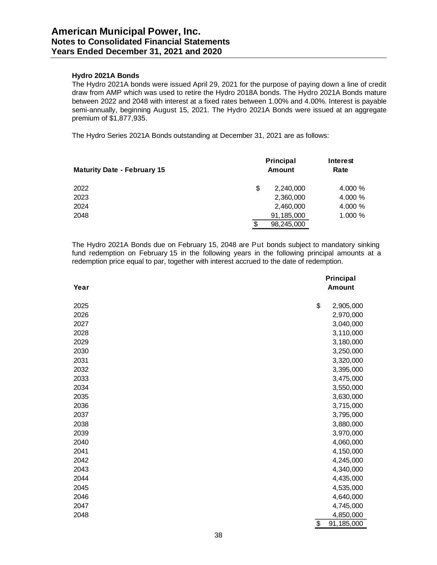# **Hydro 2021A Bonds**

The Hydro 2021A bonds were issued April 29, 2021 for the purpose of paying down a line of credit draw from AMP which was used to retire the Hydro 2018A bonds. The Hydro 2021A Bonds mature between 2022 and 2048 with interest at a fixed rates between 1.00% and 4.00%. Interest is payable semi-annually, beginning August 15, 2021. The Hydro 2021A Bonds were issued at an aggregate premium of \$1,877,935.

The Hydro Series 2021A Bonds outstanding at December 31, 2021 are as follows:

| <b>Maturity Date - February 15</b> |    | Principal<br><b>Amount</b> | Interest<br>Rate |
|------------------------------------|----|----------------------------|------------------|
| 2022                               | S  | 2,240,000                  | 4.000 %          |
| 2023                               |    | 2,360,000                  | 4.000 %          |
| 2024                               |    | 2,460,000                  | 4.000 %          |
| 2048                               |    | 91,185,000                 | 1.000 %          |
|                                    | \$ | 98,245,000                 |                  |

The Hydro 2021A Bonds due on February 15, 2048 are Put bonds subject to mandatory sinking fund redemption on February 15 in the following years in the following principal amounts at a redemption price equal to par, together with interest accrued to the date of redemption.

|      | Principal        |
|------|------------------|
| Year | <b>Amount</b>    |
|      |                  |
| 2025 | \$<br>2,905,000  |
| 2026 | 2,970,000        |
| 2027 | 3,040,000        |
| 2028 | 3,110,000        |
| 2029 | 3,180,000        |
| 2030 | 3,250,000        |
| 2031 | 3,320,000        |
| 2032 | 3,395,000        |
| 2033 | 3,475,000        |
| 2034 | 3,550,000        |
| 2035 | 3,630,000        |
| 2036 | 3,715,000        |
| 2037 | 3,795,000        |
| 2038 | 3,880,000        |
| 2039 | 3,970,000        |
| 2040 | 4,060,000        |
| 2041 | 4,150,000        |
| 2042 | 4,245,000        |
| 2043 | 4,340,000        |
| 2044 | 4,435,000        |
| 2045 | 4,535,000        |
| 2046 | 4,640,000        |
| 2047 | 4,745,000        |
| 2048 | 4,850,000        |
|      | \$<br>91,185,000 |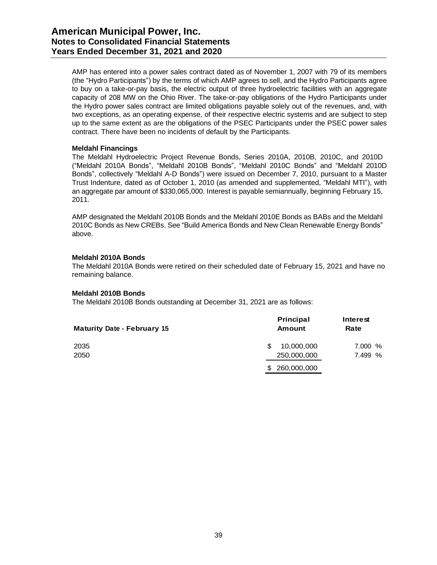AMP has entered into a power sales contract dated as of November 1, 2007 with 79 of its members (the "Hydro Participants") by the terms of which AMP agrees to sell, and the Hydro Participants agree to buy on a take-or-pay basis, the electric output of three hydroelectric facilities with an aggregate capacity of 208 MW on the Ohio River. The take-or-pay obligations of the Hydro Participants under the Hydro power sales contract are limited obligations payable solely out of the revenues, and, with two exceptions, as an operating expense, of their respective electric systems and are subject to step up to the same extent as are the obligations of the PSEC Participants under the PSEC power sales contract. There have been no incidents of default by the Participants.

#### **Meldahl Financings**

The Meldahl Hydroelectric Project Revenue Bonds, Series 2010A, 2010B, 2010C, and 2010D ("Meldahl 2010A Bonds", "Meldahl 2010B Bonds", "Meldahl 2010C Bonds" and "Meldahl 2010D Bonds", collectively "Meldahl A-D Bonds") were issued on December 7, 2010, pursuant to a Master Trust Indenture, dated as of October 1, 2010 (as amended and supplemented, "Meldahl MTI"), with an aggregate par amount of \$330,065,000. Interest is payable semiannually, beginning February 15, 2011.

AMP designated the Meldahl 2010B Bonds and the Meldahl 2010E Bonds as BABs and the Meldahl 2010C Bonds as New CREBs. See "Build America Bonds and New Clean Renewable Energy Bonds" above.

#### **Meldahl 2010A Bonds**

The Meldahl 2010A Bonds were retired on their scheduled date of February 15, 2021 and have no remaining balance.

#### **Meldahl 2010B Bonds**

The Meldahl 2010B Bonds outstanding at December 31, 2021 are as follows:

| <b>Maturity Date - February 15</b> | Principal<br><b>Amount</b> | Interest<br>Rate |
|------------------------------------|----------------------------|------------------|
| 2035                               | 10,000,000<br>\$.          | 7.000 %          |
| 2050                               | 250,000,000                | 7.499 %          |
|                                    | 260,000,000<br>\$.         |                  |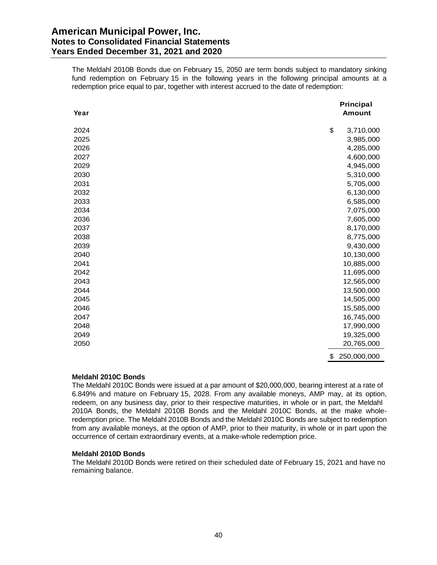# **American Municipal Power, Inc. Notes to Consolidated Financial Statements Years Ended December 31, 2021 and 2020**

The Meldahl 2010B Bonds due on February 15, 2050 are term bonds subject to mandatory sinking fund redemption on February 15 in the following years in the following principal amounts at a redemption price equal to par, together with interest accrued to the date of redemption:

| Year | Principal<br><b>Amount</b> |
|------|----------------------------|
| 2024 | \$<br>3,710,000            |
| 2025 | 3,985,000                  |
| 2026 | 4,285,000                  |
| 2027 | 4,600,000                  |
| 2029 | 4,945,000                  |
| 2030 | 5,310,000                  |
| 2031 | 5,705,000                  |
| 2032 | 6,130,000                  |
| 2033 | 6,585,000                  |
| 2034 | 7,075,000                  |
| 2036 | 7,605,000                  |
| 2037 | 8,170,000                  |
| 2038 | 8,775,000                  |
| 2039 | 9,430,000                  |
| 2040 | 10,130,000                 |
| 2041 | 10,885,000                 |
| 2042 | 11,695,000                 |
| 2043 | 12,565,000                 |
| 2044 | 13,500,000                 |
| 2045 | 14,505,000                 |
| 2046 | 15,585,000                 |
| 2047 | 16,745,000                 |
| 2048 | 17,990,000                 |
| 2049 | 19,325,000                 |
| 2050 | 20,765,000                 |
|      | \$<br>250,000,000          |

### **Meldahl 2010C Bonds**

The Meldahl 2010C Bonds were issued at a par amount of \$20,000,000, bearing interest at a rate of 6.849% and mature on February 15, 2028. From any available moneys, AMP may, at its option, redeem, on any business day, prior to their respective maturities, in whole or in part, the Meldahl 2010A Bonds, the Meldahl 2010B Bonds and the Meldahl 2010C Bonds, at the make wholeredemption price. The Meldahl 2010B Bonds and the Meldahl 2010C Bonds are subject to redemption from any available moneys, at the option of AMP, prior to their maturity, in whole or in part upon the occurrence of certain extraordinary events, at a make-whole redemption price.

#### **Meldahl 2010D Bonds**

The Meldahl 2010D Bonds were retired on their scheduled date of February 15, 2021 and have no remaining balance.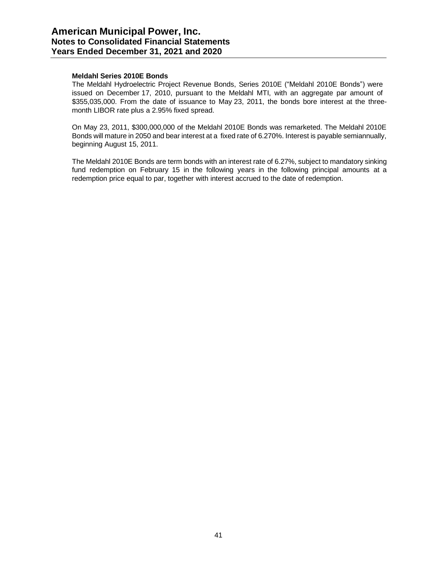# **Meldahl Series 2010E Bonds**

The Meldahl Hydroelectric Project Revenue Bonds, Series 2010E ("Meldahl 2010E Bonds") were issued on December 17, 2010, pursuant to the Meldahl MTI, with an aggregate par amount of \$355,035,000. From the date of issuance to May 23, 2011, the bonds bore interest at the threemonth LIBOR rate plus a 2.95% fixed spread.

On May 23, 2011, \$300,000,000 of the Meldahl 2010E Bonds was remarketed. The Meldahl 2010E Bonds will mature in 2050 and bear interest at a fixed rate of 6.270%. Interest is payable semiannually, beginning August 15, 2011.

The Meldahl 2010E Bonds are term bonds with an interest rate of 6.27%, subject to mandatory sinking fund redemption on February 15 in the following years in the following principal amounts at a redemption price equal to par, together with interest accrued to the date of redemption.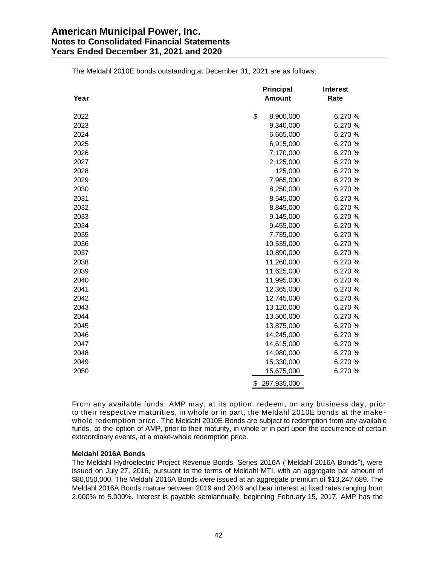|      | Principal         | <b>Interest</b> |
|------|-------------------|-----------------|
| Year | <b>Amount</b>     | Rate            |
| 2022 | \$<br>8,900,000   | 6.270 %         |
| 2023 | 9,340,000         | 6.270 %         |
| 2024 | 6,665,000         | 6.270 %         |
| 2025 | 6,915,000         | 6.270 %         |
| 2026 | 7,170,000         | 6.270 %         |
| 2027 | 2,125,000         | 6.270 %         |
| 2028 | 125,000           | 6.270 %         |
| 2029 | 7,965,000         | 6.270 %         |
| 2030 | 8,250,000         | 6.270 %         |
| 2031 | 8,545,000         | 6.270 %         |
| 2032 | 8,845,000         | 6.270 %         |
| 2033 | 9,145,000         | 6.270 %         |
| 2034 | 9,455,000         | 6.270 %         |
| 2035 | 7,735,000         | 6.270 %         |
| 2036 | 10,535,000        | 6.270 %         |
| 2037 | 10,890,000        | 6.270 %         |
| 2038 | 11,260,000        | 6.270 %         |
| 2039 | 11,625,000        | 6.270 %         |
| 2040 | 11,995,000        | 6.270 %         |
| 2041 | 12,365,000        | 6.270 %         |
| 2042 | 12,745,000        | 6.270 %         |
| 2043 | 13,120,000        | 6.270 %         |
| 2044 | 13,500,000        | 6.270 %         |
| 2045 | 13,875,000        | 6.270 %         |
| 2046 | 14,245,000        | 6.270 %         |
| 2047 | 14,615,000        | 6.270 %         |
| 2048 | 14,980,000        | 6.270 %         |
| 2049 | 15,330,000        | 6.270 %         |
| 2050 | 15,675,000        | 6.270 %         |
|      | \$<br>297,935,000 |                 |

The Meldahl 2010E bonds outstanding at December 31, 2021 are as follows:

From any available funds, AMP may, at its option, redeem, on any business day, prior to their respective maturities, in whole or in part, the Meldahl 2010E bonds at the make whole redemption price. The Meldahl 2010E Bonds are subject to redemption from any available funds, at the option of AMP, prior to their maturity, in whole or in part upon the occurrence of certain extraordinary events, at a make-whole redemption price.

#### **Meldahl 2016A Bonds**

The Meldahl Hydroelectric Project Revenue Bonds, Series 2016A ("Meldahl 2016A Bonds"), were issued on July 27, 2016, pursuant to the terms of Meldahl MTI, with an aggregate par amount of \$80,050,000. The Meldahl 2016A Bonds were issued at an aggregate premium of \$13,247,689. The Meldahl 2016A Bonds mature between 2019 and 2046 and bear interest at fixed rates ranging from 2.000% to 5.000%. Interest is payable semiannually, beginning February 15, 2017. AMP has the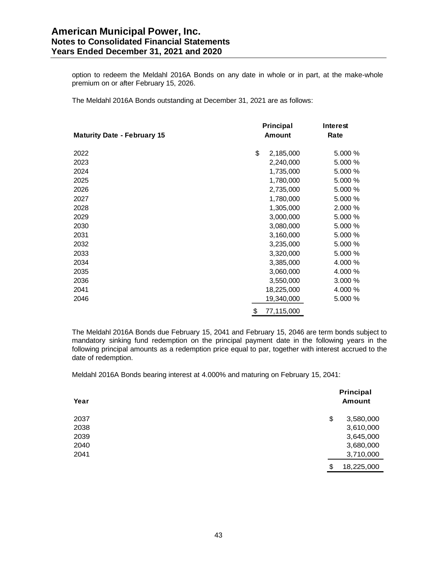option to redeem the Meldahl 2016A Bonds on any date in whole or in part, at the make-whole premium on or after February 15, 2026.

The Meldahl 2016A Bonds outstanding at December 31, 2021 are as follows:

|                                    | <b>Principal</b> | Interest |
|------------------------------------|------------------|----------|
| <b>Maturity Date - February 15</b> | <b>Amount</b>    | Rate     |
| 2022                               | \$<br>2,185,000  | 5.000 %  |
| 2023                               | 2,240,000        | 5.000 %  |
| 2024                               | 1,735,000        | 5.000 %  |
| 2025                               | 1,780,000        | 5.000 %  |
| 2026                               | 2,735,000        | 5.000 %  |
| 2027                               | 1,780,000        | 5.000 %  |
| 2028                               | 1,305,000        | 2.000 %  |
| 2029                               | 3,000,000        | 5.000 %  |
| 2030                               | 3,080,000        | 5.000 %  |
| 2031                               | 3,160,000        | 5.000 %  |
| 2032                               | 3,235,000        | 5.000 %  |
| 2033                               | 3,320,000        | 5.000 %  |
| 2034                               | 3,385,000        | 4.000 %  |
| 2035                               | 3,060,000        | 4.000 %  |
| 2036                               | 3,550,000        | 3.000 %  |
| 2041                               | 18,225,000       | 4.000 %  |
| 2046                               | 19,340,000       | 5.000 %  |
|                                    | \$<br>77,115,000 |          |

The Meldahl 2016A Bonds due February 15, 2041 and February 15, 2046 are term bonds subject to mandatory sinking fund redemption on the principal payment date in the following years in the following principal amounts as a redemption price equal to par, together with interest accrued to the date of redemption.

Meldahl 2016A Bonds bearing interest at 4.000% and maturing on February 15, 2041:

| Year | Principal<br><b>Amount</b> |  |
|------|----------------------------|--|
| 2037 | \$<br>3,580,000            |  |
| 2038 | 3,610,000                  |  |
| 2039 | 3,645,000                  |  |
| 2040 | 3,680,000                  |  |
| 2041 | 3,710,000                  |  |
|      | 18,225,000<br>\$           |  |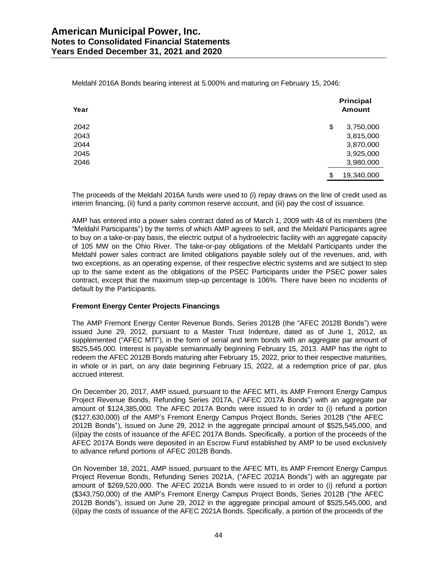| Year | Principal<br><b>Amount</b> |
|------|----------------------------|
| 2042 | \$<br>3,750,000            |
| 2043 | 3,815,000                  |
| 2044 | 3,870,000                  |
| 2045 | 3,925,000                  |
| 2046 | 3,980,000                  |
|      | \$<br>19,340,000           |

Meldahl 2016A Bonds bearing interest at 5.000% and maturing on February 15, 2046:

The proceeds of the Meldahl 2016A funds were used to (i) repay draws on the line of credit used as interim financing, (ii) fund a parity common reserve account, and (iii) pay the cost of issuance.

AMP has entered into a power sales contract dated as of March 1, 2009 with 48 of its members (the "Meldahl Participants") by the terms of which AMP agrees to sell, and the Meldahl Participants agree to buy on a take-or-pay basis, the electric output of a hydroelectric facility with an aggregate capacity of 105 MW on the Ohio River. The take-or-pay obligations of the Meldahl Participants under the Meldahl power sales contract are limited obligations payable solely out of the revenues, and, with two exceptions, as an operating expense, of their respective electric systems and are subject to step up to the same extent as the obligations of the PSEC Participants under the PSEC power sales contract, except that the maximum step-up percentage is 106%. There have been no incidents of default by the Participants.

# **Fremont Energy Center Projects Financings**

The AMP Fremont Energy Center Revenue Bonds, Series 2012B (the "AFEC 2012B Bonds") were issued June 29, 2012, pursuant to a Master Trust Indenture, dated as of June 1, 2012, as supplemented ("AFEC MTI"), in the form of serial and term bonds with an aggregate par amount of \$525,545,000. Interest is payable semiannually beginning February 15, 2013. AMP has the right to redeem the AFEC 2012B Bonds maturing after February 15, 2022, prior to their respective maturities, in whole or in part, on any date beginning February 15, 2022, at a redemption price of par, plus accrued interest.

On December 20, 2017, AMP issued, pursuant to the AFEC MTI, its AMP Fremont Energy Campus Project Revenue Bonds, Refunding Series 2017A, ("AFEC 2017A Bonds") with an aggregate par amount of \$124,385,000. The AFEC 2017A Bonds were issued to in order to (i) refund a portion (\$127,630,000) of the AMP's Fremont Energy Campus Project Bonds, Series 2012B ("the AFEC 2012B Bonds"), issued on June 29, 2012 in the aggregate principal amount of \$525,545,000, and (ii)pay the costs of issuance of the AFEC 2017A Bonds. Specifically, a portion of the proceeds of the AFEC 2017A Bonds were deposited in an Escrow Fund established by AMP to be used exclusively to advance refund portions of AFEC 2012B Bonds.

On November 18, 2021, AMP issued, pursuant to the AFEC MTI, its AMP Fremont Energy Campus Project Revenue Bonds, Refunding Series 2021A, ("AFEC 2021A Bonds") with an aggregate par amount of \$269,520,000. The AFEC 2021A Bonds were issued to in order to (i) refund a portion (\$343,750,000) of the AMP's Fremont Energy Campus Project Bonds, Series 2012B ("the AFEC 2012B Bonds"), issued on June 29, 2012 in the aggregate principal amount of \$525,545,000, and (ii)pay the costs of issuance of the AFEC 2021A Bonds. Specifically, a portion of the proceeds of the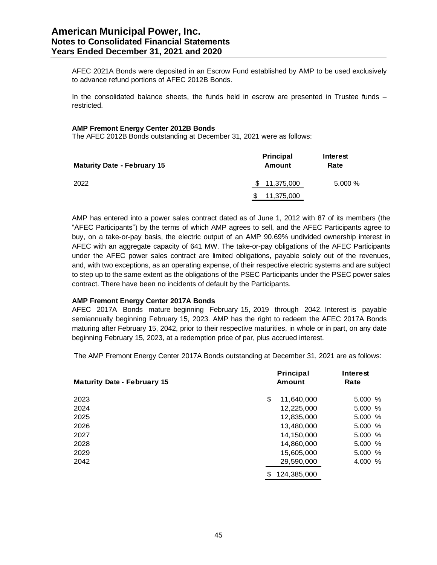AFEC 2021A Bonds were deposited in an Escrow Fund established by AMP to be used exclusively to advance refund portions of AFEC 2012B Bonds.

In the consolidated balance sheets, the funds held in escrow are presented in Trustee funds – restricted.

#### **AMP Fremont Energy Center 2012B Bonds**

The AFEC 2012B Bonds outstanding at December 31, 2021 were as follows:

| <b>Maturity Date - February 15</b> | <b>Principal</b><br><b>Amount</b> | Interest<br>Rate |
|------------------------------------|-----------------------------------|------------------|
| 2022                               | \$11,375,000                      | 5.000%           |
|                                    | 11,375,000                        |                  |

AMP has entered into a power sales contract dated as of June 1, 2012 with 87 of its members (the "AFEC Participants") by the terms of which AMP agrees to sell, and the AFEC Participants agree to buy, on a take-or-pay basis, the electric output of an AMP 90.69% undivided ownership interest in AFEC with an aggregate capacity of 641 MW. The take-or-pay obligations of the AFEC Participants under the AFEC power sales contract are limited obligations, payable solely out of the revenues, and, with two exceptions, as an operating expense, of their respective electric systems and are subject to step up to the same extent as the obligations of the PSEC Participants under the PSEC power sales contract. There have been no incidents of default by the Participants.

#### **AMP Fremont Energy Center 2017A Bonds**

AFEC 2017A Bonds mature beginning February 15, 2019 through 2042. Interest is payable semiannually beginning February 15, 2023. AMP has the right to redeem the AFEC 2017A Bonds maturing after February 15, 2042, prior to their respective maturities, in whole or in part, on any date beginning February 15, 2023, at a redemption price of par, plus accrued interest.

The AMP Fremont Energy Center 2017A Bonds outstanding at December 31, 2021 are as follows:

| <b>Maturity Date - February 15</b> | Principal<br><b>Amount</b> | <b>Interest</b><br>Rate |
|------------------------------------|----------------------------|-------------------------|
| 2023                               | 11,640,000<br>\$           | 5.000%                  |
| 2024                               | 12,225,000                 | 5.000%                  |
| 2025                               | 12,835,000                 | 5.000%                  |
| 2026                               | 13,480,000                 | 5.000%                  |
| 2027                               | 14,150,000                 | 5.000%                  |
| 2028                               | 14,860,000                 | 5.000%                  |
| 2029                               | 15,605,000                 | 5.000%                  |
| 2042                               | 29,590,000                 | 4.000 %                 |
|                                    | 124,385,000<br>S           |                         |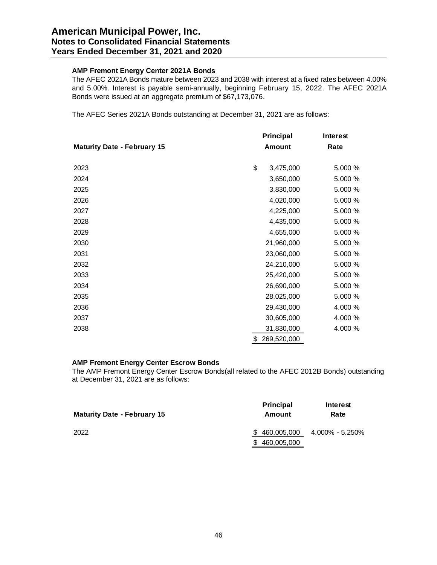# **AMP Fremont Energy Center 2021A Bonds**

The AFEC 2021A Bonds mature between 2023 and 2038 with interest at a fixed rates between 4.00% and 5.00%. Interest is payable semi-annually, beginning February 15, 2022. The AFEC 2021A Bonds were issued at an aggregate premium of \$67,173,076.

The AFEC Series 2021A Bonds outstanding at December 31, 2021 are as follows:

|                                    | Principal         | <b>Interest</b> |
|------------------------------------|-------------------|-----------------|
| <b>Maturity Date - February 15</b> | <b>Amount</b>     | Rate            |
|                                    |                   |                 |
| 2023                               | \$<br>3,475,000   | 5.000 %         |
| 2024                               | 3,650,000         | 5.000 %         |
| 2025                               | 3,830,000         | 5.000 %         |
| 2026                               | 4,020,000         | 5.000 %         |
| 2027                               | 4,225,000         | 5.000 %         |
| 2028                               | 4,435,000         | 5.000 %         |
| 2029                               | 4,655,000         | 5.000 %         |
| 2030                               | 21,960,000        | 5.000 %         |
| 2031                               | 23,060,000        | 5.000 %         |
| 2032                               | 24,210,000        | 5.000 %         |
| 2033                               | 25,420,000        | 5.000 %         |
| 2034                               | 26,690,000        | 5.000 %         |
| 2035                               | 28,025,000        | 5.000 %         |
| 2036                               | 29,430,000        | 4.000 %         |
| 2037                               | 30,605,000        | 4.000 %         |
| 2038                               | 31,830,000        | 4.000 %         |
|                                    | \$<br>269,520,000 |                 |

## **AMP Fremont Energy Center Escrow Bonds**

The AMP Fremont Energy Center Escrow Bonds(all related to the AFEC 2012B Bonds) outstanding at December 31, 2021 are as follows:

| <b>Maturity Date - February 15</b> | Principal<br>Amount | Interest<br>Rate               |
|------------------------------------|---------------------|--------------------------------|
| 2022                               |                     | $$460,005,000$ 4.000% - 5.250% |
|                                    | 460,005,000<br>S.   |                                |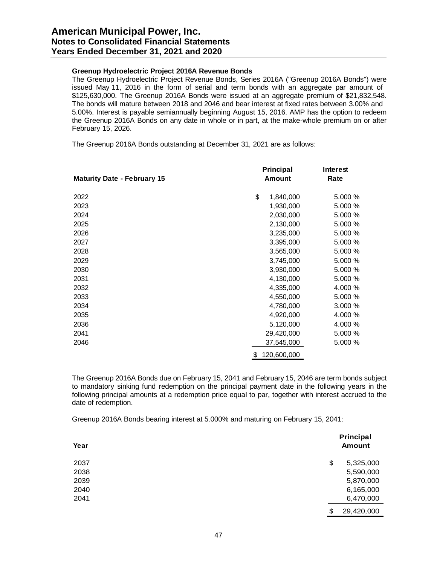### **Greenup Hydroelectric Project 2016A Revenue Bonds**

The Greenup Hydroelectric Project Revenue Bonds, Series 2016A ("Greenup 2016A Bonds") were issued May 11, 2016 in the form of serial and term bonds with an aggregate par amount of \$125,630,000. The Greenup 2016A Bonds were issued at an aggregate premium of \$21,832,548. The bonds will mature between 2018 and 2046 and bear interest at fixed rates between 3.00% and 5.00%. Interest is payable semiannually beginning August 15, 2016. AMP has the option to redeem the Greenup 2016A Bonds on any date in whole or in part, at the make-whole premium on or after February 15, 2026.

The Greenup 2016A Bonds outstanding at December 31, 2021 are as follows:

|                                    | <b>Principal</b> | Interest |
|------------------------------------|------------------|----------|
| <b>Maturity Date - February 15</b> | <b>Amount</b>    | Rate     |
| 2022                               | \$<br>1,840,000  | 5.000 %  |
| 2023                               | 1,930,000        | 5.000 %  |
| 2024                               | 2,030,000        | 5.000%   |
| 2025                               | 2,130,000        | 5.000 %  |
| 2026                               | 3,235,000        | 5.000 %  |
| 2027                               | 3,395,000        | 5.000 %  |
| 2028                               | 3,565,000        | 5.000 %  |
| 2029                               | 3,745,000        | 5.000 %  |
| 2030                               | 3,930,000        | 5.000 %  |
| 2031                               | 4,130,000        | 5.000 %  |
| 2032                               | 4,335,000        | 4.000 %  |
| 2033                               | 4,550,000        | 5.000 %  |
| 2034                               | 4,780,000        | 3.000 %  |
| 2035                               | 4,920,000        | 4.000 %  |
| 2036                               | 5,120,000        | 4.000 %  |
| 2041                               | 29,420,000       | 5.000 %  |
| 2046                               | 37,545,000       | 5.000 %  |
|                                    | 120,600,000<br>S |          |

The Greenup 2016A Bonds due on February 15, 2041 and February 15, 2046 are term bonds subject to mandatory sinking fund redemption on the principal payment date in the following years in the following principal amounts at a redemption price equal to par, together with interest accrued to the date of redemption.

Greenup 2016A Bonds bearing interest at 5.000% and maturing on February 15, 2041:

| Year | Principal<br><b>Amount</b> |  |
|------|----------------------------|--|
| 2037 | \$<br>5,325,000            |  |
| 2038 | 5,590,000                  |  |
| 2039 | 5,870,000                  |  |
| 2040 | 6,165,000                  |  |
| 2041 | 6,470,000                  |  |
|      | \$<br>29,420,000           |  |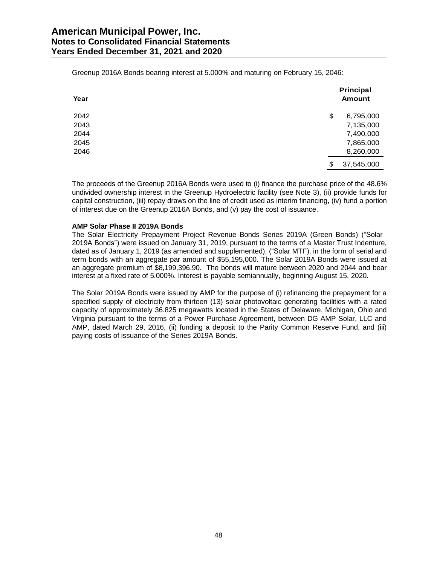Greenup 2016A Bonds bearing interest at 5.000% and maturing on February 15, 2046:

| Year | Principal<br><b>Amount</b> |
|------|----------------------------|
| 2042 | \$<br>6,795,000            |
| 2043 | 7,135,000                  |
| 2044 | 7,490,000                  |
| 2045 | 7,865,000                  |
| 2046 | 8,260,000                  |
|      | \$<br>37,545,000           |

The proceeds of the Greenup 2016A Bonds were used to (i) finance the purchase price of the 48.6% undivided ownership interest in the Greenup Hydroelectric facility (see Note 3), (ii) provide funds for capital construction, (iii) repay draws on the line of credit used as interim financing, (iv) fund a portion of interest due on the Greenup 2016A Bonds, and (v) pay the cost of issuance.

#### **AMP Solar Phase II 2019A Bonds**

The Solar Electricity Prepayment Project Revenue Bonds Series 2019A (Green Bonds) ("Solar 2019A Bonds") were issued on January 31, 2019, pursuant to the terms of a Master Trust Indenture, dated as of January 1, 2019 (as amended and supplemented), ("Solar MTI"), in the form of serial and term bonds with an aggregate par amount of \$55,195,000. The Solar 2019A Bonds were issued at an aggregate premium of \$8,199,396.90. The bonds will mature between 2020 and 2044 and bear interest at a fixed rate of 5.000%. Interest is payable semiannually, beginning August 15, 2020.

The Solar 2019A Bonds were issued by AMP for the purpose of (i) refinancing the prepayment for a specified supply of electricity from thirteen (13) solar photovoltaic generating facilities with a rated capacity of approximately 36.825 megawatts located in the States of Delaware, Michigan, Ohio and Virginia pursuant to the terms of a Power Purchase Agreement, between DG AMP Solar, LLC and AMP, dated March 29, 2016, (ii) funding a deposit to the Parity Common Reserve Fund, and (iii) paying costs of issuance of the Series 2019A Bonds.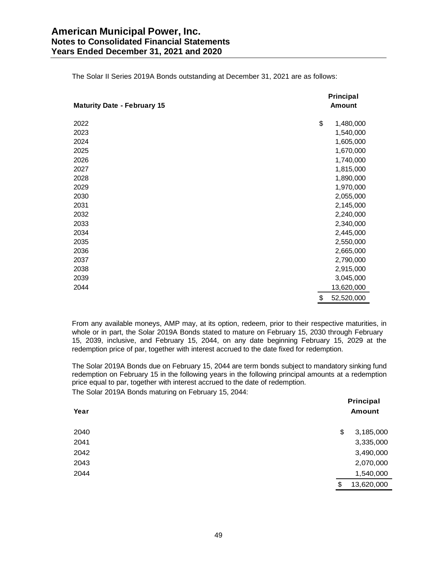| <b>Maturity Date - February 15</b> | Principal<br><b>Amount</b> |
|------------------------------------|----------------------------|
| 2022                               | \$<br>1,480,000            |
| 2023                               | 1,540,000                  |
| 2024                               | 1,605,000                  |
| 2025                               | 1,670,000                  |
| 2026                               | 1,740,000                  |
| 2027                               | 1,815,000                  |
| 2028                               | 1,890,000                  |
| 2029                               | 1,970,000                  |
| 2030                               | 2,055,000                  |
| 2031                               | 2,145,000                  |
| 2032                               | 2,240,000                  |
| 2033                               | 2,340,000                  |
| 2034                               | 2,445,000                  |
| 2035                               | 2,550,000                  |
| 2036                               | 2,665,000                  |
| 2037                               | 2,790,000                  |
| 2038                               | 2,915,000                  |
| 2039                               | 3,045,000                  |
| 2044                               | 13,620,000                 |
|                                    | \$<br>52,520,000           |

The Solar II Series 2019A Bonds outstanding at December 31, 2021 are as follows:

From any available moneys, AMP may, at its option, redeem, prior to their respective maturities, in whole or in part, the Solar 2019A Bonds stated to mature on February 15, 2030 through February 15, 2039, inclusive, and February 15, 2044, on any date beginning February 15, 2029 at the redemption price of par, together with interest accrued to the date fixed for redemption.

The Solar 2019A Bonds due on February 15, 2044 are term bonds subject to mandatory sinking fund redemption on February 15 in the following years in the following principal amounts at a redemption price equal to par, together with interest accrued to the date of redemption.

The Solar 2019A Bonds maturing on February 15, 2044:

| ັ<br>Year | Principal<br><b>Amount</b> |
|-----------|----------------------------|
| 2040      | 3,185,000<br>\$            |
| 2041      | 3,335,000                  |
| 2042      | 3,490,000                  |
| 2043      | 2,070,000                  |
| 2044      | 1,540,000                  |
|           | \$<br>13,620,000           |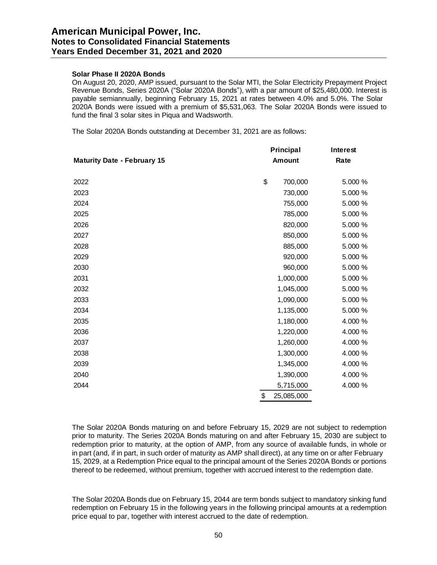# **Solar Phase II 2020A Bonds**

On August 20, 2020, AMP issued, pursuant to the Solar MTI, the Solar Electricity Prepayment Project Revenue Bonds, Series 2020A ("Solar 2020A Bonds"), with a par amount of \$25,480,000. Interest is payable semiannually, beginning February 15, 2021 at rates between 4.0% and 5.0%. The Solar 2020A Bonds were issued with a premium of \$5,531,063. The Solar 2020A Bonds were issued to fund the final 3 solar sites in Piqua and Wadsworth.

The Solar 2020A Bonds outstanding at December 31, 2021 are as follows:

|                                    | <b>Principal</b> | Interest<br>Rate |  |
|------------------------------------|------------------|------------------|--|
| <b>Maturity Date - February 15</b> | <b>Amount</b>    |                  |  |
| 2022                               | \$<br>700,000    | 5.000 %          |  |
| 2023                               | 730,000          | 5.000 %          |  |
| 2024                               | 755,000          | 5.000 %          |  |
| 2025                               | 785,000          | 5.000 %          |  |
| 2026                               | 820,000          | 5.000 %          |  |
| 2027                               | 850,000          | 5.000 %          |  |
| 2028                               | 885,000          | 5.000 %          |  |
| 2029                               | 920,000          | 5.000 %          |  |
| 2030                               | 960,000          | 5.000 %          |  |
| 2031                               | 1,000,000        | 5.000 %          |  |
| 2032                               | 1,045,000        | 5.000 %          |  |
| 2033                               | 1,090,000        | 5.000 %          |  |
| 2034                               | 1,135,000        | 5.000 %          |  |
| 2035                               | 1,180,000        | 4.000 %          |  |
| 2036                               | 1,220,000        | 4.000 %          |  |
| 2037                               | 1,260,000        | 4.000 %          |  |
| 2038                               | 1,300,000        | 4.000 %          |  |
| 2039                               | 1,345,000        | 4.000 %          |  |
| 2040                               | 1,390,000        | 4.000 %          |  |
| 2044                               | 5,715,000        | 4.000 %          |  |
|                                    | \$<br>25,085,000 |                  |  |

The Solar 2020A Bonds maturing on and before February 15, 2029 are not subject to redemption prior to maturity. The Series 2020A Bonds maturing on and after February 15, 2030 are subject to redemption prior to maturity, at the option of AMP, from any source of available funds, in whole or in part (and, if in part, in such order of maturity as AMP shall direct), at any time on or after February 15, 2029, at a Redemption Price equal to the principal amount of the Series 2020A Bonds or portions thereof to be redeemed, without premium, together with accrued interest to the redemption date.

The Solar 2020A Bonds due on February 15, 2044 are term bonds subject to mandatory sinking fund redemption on February 15 in the following years in the following principal amounts at a redemption price equal to par, together with interest accrued to the date of redemption.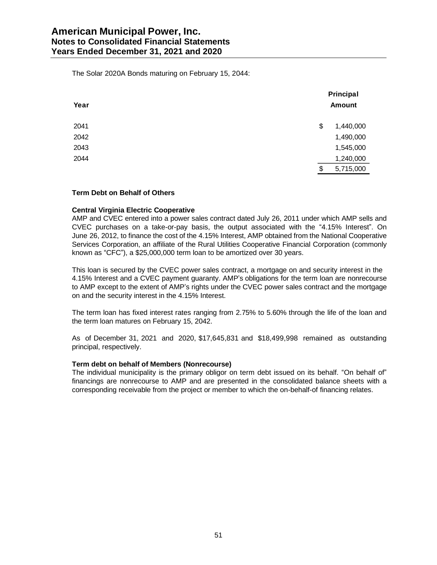The Solar 2020A Bonds maturing on February 15, 2044:

| Year | Principal<br>Amount |
|------|---------------------|
| 2041 | \$<br>1,440,000     |
| 2042 | 1,490,000           |
| 2043 | 1,545,000           |
| 2044 | 1,240,000           |
|      | \$<br>5,715,000     |

# **Term Debt on Behalf of Others**

#### **Central Virginia Electric Cooperative**

AMP and CVEC entered into a power sales contract dated July 26, 2011 under which AMP sells and CVEC purchases on a take-or-pay basis, the output associated with the "4.15% Interest". On June 26, 2012, to finance the cost of the 4.15% Interest, AMP obtained from the National Cooperative Services Corporation, an affiliate of the Rural Utilities Cooperative Financial Corporation (commonly known as "CFC"), a \$25,000,000 term loan to be amortized over 30 years.

This loan is secured by the CVEC power sales contract, a mortgage on and security interest in the 4.15% Interest and a CVEC payment guaranty. AMP's obligations for the term loan are nonrecourse to AMP except to the extent of AMP's rights under the CVEC power sales contract and the mortgage on and the security interest in the 4.15% Interest.

The term loan has fixed interest rates ranging from 2.75% to 5.60% through the life of the loan and the term loan matures on February 15, 2042.

As of December 31, 2021 and 2020, \$17,645,831 and \$18,499,998 remained as outstanding principal, respectively.

#### **Term debt on behalf of Members (Nonrecourse)**

The individual municipality is the primary obligor on term debt issued on its behalf. "On behalf of" financings are nonrecourse to AMP and are presented in the consolidated balance sheets with a corresponding receivable from the project or member to which the on-behalf-of financing relates.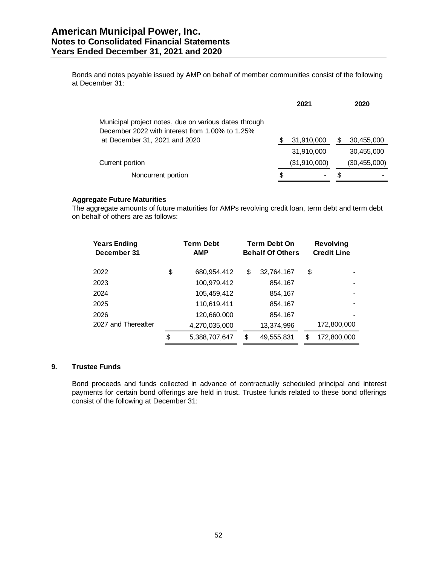Bonds and notes payable issued by AMP on behalf of member communities consist of the following at December 31:

|                                                                                                          |   | 2021                     |   | 2020           |
|----------------------------------------------------------------------------------------------------------|---|--------------------------|---|----------------|
| Municipal project notes, due on various dates through<br>December 2022 with interest from 1.00% to 1.25% |   |                          |   |                |
| at December 31, 2021 and 2020                                                                            |   | 31,910,000               | S | 30,455,000     |
|                                                                                                          |   | 31,910,000               |   | 30,455,000     |
| Current portion                                                                                          |   | (31, 910, 000)           |   | (30, 455, 000) |
| Noncurrent portion                                                                                       | S | $\overline{\phantom{0}}$ | S |                |

# **Aggregate Future Maturities**

The aggregate amounts of future maturities for AMPs revolving credit loan, term debt and term debt on behalf of others are as follows:

| <b>Years Ending</b><br>December 31 |    | <b>Term Debt</b><br><b>AMP</b> |    | <b>Term Debt On</b> |    | <b>Behalf Of Others</b> |  | <b>Revolving</b><br><b>Credit Line</b> |
|------------------------------------|----|--------------------------------|----|---------------------|----|-------------------------|--|----------------------------------------|
| 2022                               | \$ | 680,954,412                    | \$ | 32,764,167          | \$ |                         |  |                                        |
| 2023                               |    | 100,979,412                    |    | 854,167             |    |                         |  |                                        |
| 2024                               |    | 105,459,412                    |    | 854,167             |    |                         |  |                                        |
| 2025                               |    | 110,619,411                    |    | 854,167             |    |                         |  |                                        |
| 2026                               |    | 120,660,000                    |    | 854,167             |    |                         |  |                                        |
| 2027 and Thereafter                |    | 4,270,035,000                  |    | 13,374,996          |    | 172,800,000             |  |                                        |
|                                    | \$ | 5,388,707,647                  | S  | 49,555,831          | S  | 172,800,000             |  |                                        |

# **9. Trustee Funds**

Bond proceeds and funds collected in advance of contractually scheduled principal and interest payments for certain bond offerings are held in trust. Trustee funds related to these bond offerings consist of the following at December 31: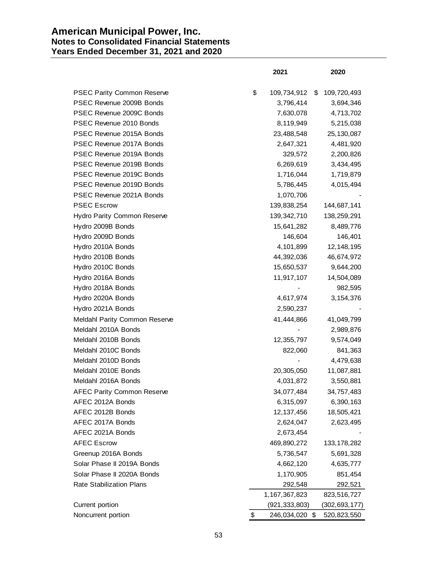# **American Municipal Power, Inc. Notes to Consolidated Financial Statements Years Ended December 31, 2021 and 2020**

|                                   | 2021                 | 2020              |
|-----------------------------------|----------------------|-------------------|
| <b>PSEC Parity Common Reserve</b> | \$<br>109,734,912    | \$<br>109,720,493 |
| PSEC Revenue 2009B Bonds          | 3,796,414            | 3,694,346         |
| PSEC Revenue 2009C Bonds          | 7,630,078            | 4,713,702         |
| PSEC Revenue 2010 Bonds           | 8,119,949            | 5,215,038         |
| PSEC Revenue 2015A Bonds          | 23,488,548           | 25,130,087        |
| PSEC Revenue 2017A Bonds          | 2,647,321            | 4,481,920         |
| PSEC Revenue 2019A Bonds          | 329,572              | 2,200,826         |
| PSEC Revenue 2019B Bonds          | 6,269,619            | 3,434,495         |
| PSEC Revenue 2019C Bonds          | 1,716,044            | 1,719,879         |
| PSEC Revenue 2019D Bonds          | 5,786,445            | 4,015,494         |
| PSEC Revenue 2021A Bonds          | 1,070,706            |                   |
| <b>PSEC Escrow</b>                | 139,838,254          | 144,687,141       |
| Hydro Parity Common Reserve       | 139,342,710          | 138,259,291       |
| Hydro 2009B Bonds                 | 15,641,282           | 8,489,776         |
| Hydro 2009D Bonds                 | 146,604              | 146,401           |
| Hydro 2010A Bonds                 | 4,101,899            | 12, 148, 195      |
| Hydro 2010B Bonds                 | 44,392,036           | 46,674,972        |
| Hydro 2010C Bonds                 | 15,650,537           | 9,644,200         |
| Hydro 2016A Bonds                 | 11,917,107           | 14,504,089        |
| Hydro 2018A Bonds                 |                      | 982,595           |
| Hydro 2020A Bonds                 | 4,617,974            | 3,154,376         |
| Hydro 2021A Bonds                 | 2,590,237            |                   |
| Meldahl Parity Common Reserve     | 41,444,866           | 41,049,799        |
| Meldahl 2010A Bonds               |                      | 2,989,876         |
| Meldahl 2010B Bonds               | 12,355,797           | 9,574,049         |
| Meldahl 2010C Bonds               | 822,060              | 841,363           |
| Meldahl 2010D Bonds               |                      | 4,479,638         |
| Meldahl 2010E Bonds               | 20,305,050           | 11,087,881        |
| Meldahl 2016A Bonds               | 4,031,872            | 3,550,881         |
| <b>AFEC Parity Common Reserve</b> | 34,077,484           | 34,757,483        |
| AFEC 2012A Bonds                  | 6,315,097            | 6,390,163         |
| AFEC 2012B Bonds                  | 12, 137, 456         | 18,505,421        |
| AFEC 2017A Bonds                  | 2,624,047            | 2,623,495         |
| AFEC 2021A Bonds                  | 2,673,454            |                   |
| <b>AFEC Escrow</b>                | 469,890,272          | 133, 178, 282     |
| Greenup 2016A Bonds               | 5,736,547            | 5,691,328         |
| Solar Phase II 2019A Bonds        | 4,662,120            | 4,635,777         |
| Solar Phase II 2020A Bonds        | 1,170,905            | 851,454           |
| <b>Rate Stabilization Plans</b>   | 292,548              | 292,521           |
|                                   | 1,167,367,823        | 823,516,727       |
| Current portion                   | (921, 333, 803)      | (302, 693, 177)   |
| Noncurrent portion                | \$<br>246,034,020 \$ | 520,823,550       |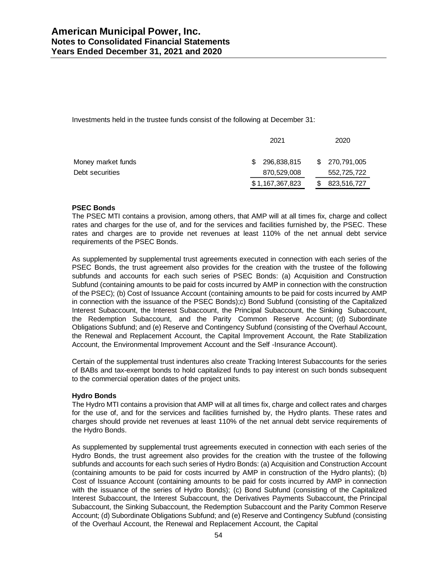Investments held in the trustee funds consist of the following at December 31:

|                    |    | 2021            | 2020           |
|--------------------|----|-----------------|----------------|
| Money market funds | S. | 296,838,815     | \$ 270,791,005 |
| Debt securities    |    | 870,529,008     | 552,725,722    |
|                    |    | \$1,167,367,823 | 823,516,727    |

# **PSEC Bonds**

The PSEC MTI contains a provision, among others, that AMP will at all times fix, charge and collect rates and charges for the use of, and for the services and facilities furnished by, the PSEC. These rates and charges are to provide net revenues at least 110% of the net annual debt service requirements of the PSEC Bonds.

As supplemented by supplemental trust agreements executed in connection with each series of the PSEC Bonds, the trust agreement also provides for the creation with the trustee of the following subfunds and accounts for each such series of PSEC Bonds: (a) Acquisition and Construction Subfund (containing amounts to be paid for costs incurred by AMP in connection with the construction of the PSEC); (b) Cost of Issuance Account (containing amounts to be paid for costs incurred by AMP in connection with the issuance of the PSEC Bonds);c) Bond Subfund (consisting of the Capitalized Interest Subaccount, the Interest Subaccount, the Principal Subaccount, the Sinking Subaccount, the Redemption Subaccount, and the Parity Common Reserve Account; (d) Subordinate Obligations Subfund; and (e) Reserve and Contingency Subfund (consisting of the Overhaul Account, the Renewal and Replacement Account, the Capital Improvement Account, the Rate Stabilization Account, the Environmental Improvement Account and the Self -Insurance Account).

Certain of the supplemental trust indentures also create Tracking Interest Subaccounts for the series of BABs and tax-exempt bonds to hold capitalized funds to pay interest on such bonds subsequent to the commercial operation dates of the project units.

# **Hydro Bonds**

The Hydro MTI contains a provision that AMP will at all times fix, charge and collect rates and charges for the use of, and for the services and facilities furnished by, the Hydro plants. These rates and charges should provide net revenues at least 110% of the net annual debt service requirements of the Hydro Bonds.

As supplemented by supplemental trust agreements executed in connection with each series of the Hydro Bonds, the trust agreement also provides for the creation with the trustee of the following subfunds and accounts for each such series of Hydro Bonds: (a) Acquisition and Construction Account (containing amounts to be paid for costs incurred by AMP in construction of the Hydro plants); (b) Cost of Issuance Account (containing amounts to be paid for costs incurred by AMP in connection with the issuance of the series of Hydro Bonds); (c) Bond Subfund (consisting of the Capitalized Interest Subaccount, the Interest Subaccount, the Derivatives Payments Subaccount, the Principal Subaccount, the Sinking Subaccount, the Redemption Subaccount and the Parity Common Reserve Account; (d) Subordinate Obligations Subfund; and (e) Reserve and Contingency Subfund (consisting of the Overhaul Account, the Renewal and Replacement Account, the Capital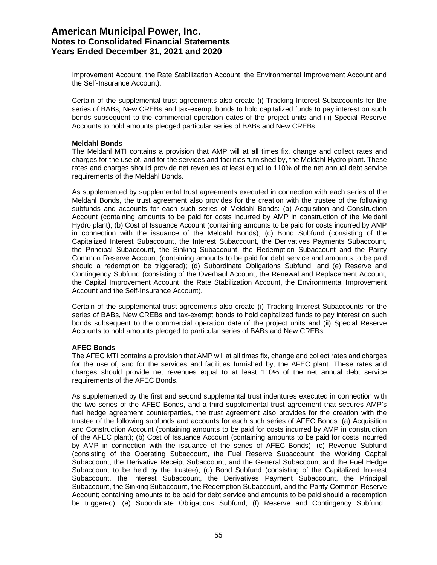Improvement Account, the Rate Stabilization Account, the Environmental Improvement Account and the Self-Insurance Account).

Certain of the supplemental trust agreements also create (i) Tracking Interest Subaccounts for the series of BABs, New CREBs and tax-exempt bonds to hold capitalized funds to pay interest on such bonds subsequent to the commercial operation dates of the project units and (ii) Special Reserve Accounts to hold amounts pledged particular series of BABs and New CREBs.

### **Meldahl Bonds**

The Meldahl MTI contains a provision that AMP will at all times fix, change and collect rates and charges for the use of, and for the services and facilities furnished by, the Meldahl Hydro plant. These rates and charges should provide net revenues at least equal to 110% of the net annual debt service requirements of the Meldahl Bonds.

As supplemented by supplemental trust agreements executed in connection with each series of the Meldahl Bonds, the trust agreement also provides for the creation with the trustee of the following subfunds and accounts for each such series of Meldahl Bonds: (a) Acquisition and Construction Account (containing amounts to be paid for costs incurred by AMP in construction of the Meldahl Hydro plant); (b) Cost of Issuance Account (containing amounts to be paid for costs incurred by AMP in connection with the issuance of the Meldahl Bonds); (c) Bond Subfund (consisting of the Capitalized Interest Subaccount, the Interest Subaccount, the Derivatives Payments Subaccount, the Principal Subaccount, the Sinking Subaccount, the Redemption Subaccount and the Parity Common Reserve Account (containing amounts to be paid for debt service and amounts to be paid should a redemption be triggered); (d) Subordinate Obligations Subfund; and (e) Reserve and Contingency Subfund (consisting of the Overhaul Account, the Renewal and Replacement Account, the Capital Improvement Account, the Rate Stabilization Account, the Environmental Improvement Account and the Self-Insurance Account).

Certain of the supplemental trust agreements also create (i) Tracking Interest Subaccounts for the series of BABs, New CREBs and tax-exempt bonds to hold capitalized funds to pay interest on such bonds subsequent to the commercial operation date of the project units and (ii) Special Reserve Accounts to hold amounts pledged to particular series of BABs and New CREBs.

# **AFEC Bonds**

The AFEC MTI contains a provision that AMP will at all times fix, change and collect rates and charges for the use of, and for the services and facilities furnished by, the AFEC plant. These rates and charges should provide net revenues equal to at least 110% of the net annual debt service requirements of the AFEC Bonds.

As supplemented by the first and second supplemental trust indentures executed in connection with the two series of the AFEC Bonds, and a third supplemental trust agreement that secures AMP's fuel hedge agreement counterparties, the trust agreement also provides for the creation with the trustee of the following subfunds and accounts for each such series of AFEC Bonds: (a) Acquisition and Construction Account (containing amounts to be paid for costs incurred by AMP in construction of the AFEC plant); (b) Cost of Issuance Account (containing amounts to be paid for costs incurred by AMP in connection with the issuance of the series of AFEC Bonds); (c) Revenue Subfund (consisting of the Operating Subaccount, the Fuel Reserve Subaccount, the Working Capital Subaccount, the Derivative Receipt Subaccount, and the General Subaccount and the Fuel Hedge Subaccount to be held by the trustee); (d) Bond Subfund (consisting of the Capitalized Interest Subaccount, the Interest Subaccount, the Derivatives Payment Subaccount, the Principal Subaccount, the Sinking Subaccount, the Redemption Subaccount, and the Parity Common Reserve Account; containing amounts to be paid for debt service and amounts to be paid should a redemption be triggered); (e) Subordinate Obligations Subfund; (f) Reserve and Contingency Subfund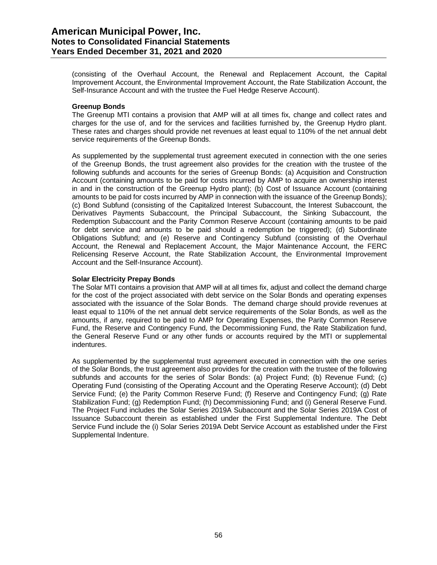(consisting of the Overhaul Account, the Renewal and Replacement Account, the Capital Improvement Account, the Environmental Improvement Account, the Rate Stabilization Account, the Self-Insurance Account and with the trustee the Fuel Hedge Reserve Account).

#### **Greenup Bonds**

The Greenup MTI contains a provision that AMP will at all times fix, change and collect rates and charges for the use of, and for the services and facilities furnished by, the Greenup Hydro plant. These rates and charges should provide net revenues at least equal to 110% of the net annual debt service requirements of the Greenup Bonds.

As supplemented by the supplemental trust agreement executed in connection with the one series of the Greenup Bonds, the trust agreement also provides for the creation with the trustee of the following subfunds and accounts for the series of Greenup Bonds: (a) Acquisition and Construction Account (containing amounts to be paid for costs incurred by AMP to acquire an ownership interest in and in the construction of the Greenup Hydro plant); (b) Cost of Issuance Account (containing amounts to be paid for costs incurred by AMP in connection with the issuance of the Greenup Bonds); (c) Bond Subfund (consisting of the Capitalized Interest Subaccount, the Interest Subaccount, the Derivatives Payments Subaccount, the Principal Subaccount, the Sinking Subaccount, the Redemption Subaccount and the Parity Common Reserve Account (containing amounts to be paid for debt service and amounts to be paid should a redemption be triggered); (d) Subordinate Obligations Subfund; and (e) Reserve and Contingency Subfund (consisting of the Overhaul Account, the Renewal and Replacement Account, the Major Maintenance Account, the FERC Relicensing Reserve Account, the Rate Stabilization Account, the Environmental Improvement Account and the Self-Insurance Account).

# **Solar Electricity Prepay Bonds**

The Solar MTI contains a provision that AMP will at all times fix, adjust and collect the demand charge for the cost of the project associated with debt service on the Solar Bonds and operating expenses associated with the issuance of the Solar Bonds. The demand charge should provide revenues at least equal to 110% of the net annual debt service requirements of the Solar Bonds, as well as the amounts, if any, required to be paid to AMP for Operating Expenses, the Parity Common Reserve Fund, the Reserve and Contingency Fund, the Decommissioning Fund, the Rate Stabilization fund, the General Reserve Fund or any other funds or accounts required by the MTI or supplemental indentures.

As supplemented by the supplemental trust agreement executed in connection with the one series of the Solar Bonds, the trust agreement also provides for the creation with the trustee of the following subfunds and accounts for the series of Solar Bonds: (a) Project Fund; (b) Revenue Fund; (c) Operating Fund (consisting of the Operating Account and the Operating Reserve Account); (d) Debt Service Fund; (e) the Parity Common Reserve Fund; (f) Reserve and Contingency Fund; (g) Rate Stabilization Fund; (g) Redemption Fund; (h) Decommissioning Fund; and (i) General Reserve Fund. The Project Fund includes the Solar Series 2019A Subaccount and the Solar Series 2019A Cost of Issuance Subaccount therein as established under the First Supplemental Indenture. The Debt Service Fund include the (i) Solar Series 2019A Debt Service Account as established under the First Supplemental Indenture.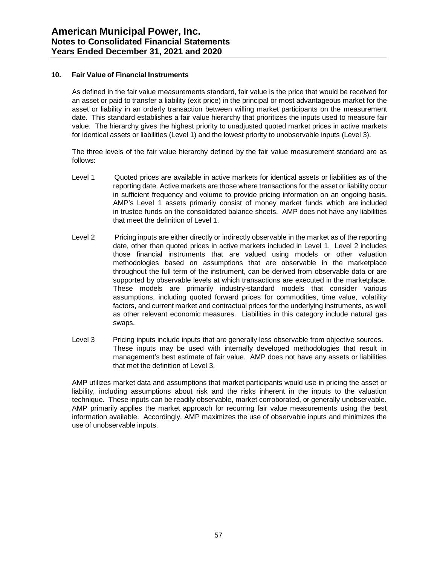# **10. Fair Value of Financial Instruments**

As defined in the fair value measurements standard, fair value is the price that would be received for an asset or paid to transfer a liability (exit price) in the principal or most advantageous market for the asset or liability in an orderly transaction between willing market participants on the measurement date. This standard establishes a fair value hierarchy that prioritizes the inputs used to measure fair value. The hierarchy gives the highest priority to unadjusted quoted market prices in active markets for identical assets or liabilities (Level 1) and the lowest priority to unobservable inputs (Level 3).

The three levels of the fair value hierarchy defined by the fair value measurement standard are as follows:

- Level 1 Quoted prices are available in active markets for identical assets or liabilities as of the reporting date. Active markets are those where transactions for the asset or liability occur in sufficient frequency and volume to provide pricing information on an ongoing basis. AMP's Level 1 assets primarily consist of money market funds which are included in trustee funds on the consolidated balance sheets. AMP does not have any liabilities that meet the definition of Level 1.
- Level 2 Pricing inputs are either directly or indirectly observable in the market as of the reporting date, other than quoted prices in active markets included in Level 1. Level 2 includes those financial instruments that are valued using models or other valuation methodologies based on assumptions that are observable in the marketplace throughout the full term of the instrument, can be derived from observable data or are supported by observable levels at which transactions are executed in the marketplace. These models are primarily industry-standard models that consider various assumptions, including quoted forward prices for commodities, time value, volatility factors, and current market and contractual prices for the underlying instruments, as well as other relevant economic measures. Liabilities in this category include natural gas swaps.
- Level 3 Pricing inputs include inputs that are generally less observable from objective sources. These inputs may be used with internally developed methodologies that result in management's best estimate of fair value. AMP does not have any assets or liabilities that met the definition of Level 3.

AMP utilizes market data and assumptions that market participants would use in pricing the asset or liability, including assumptions about risk and the risks inherent in the inputs to the valuation technique. These inputs can be readily observable, market corroborated, or generally unobservable. AMP primarily applies the market approach for recurring fair value measurements using the best information available. Accordingly, AMP maximizes the use of observable inputs and minimizes the use of unobservable inputs.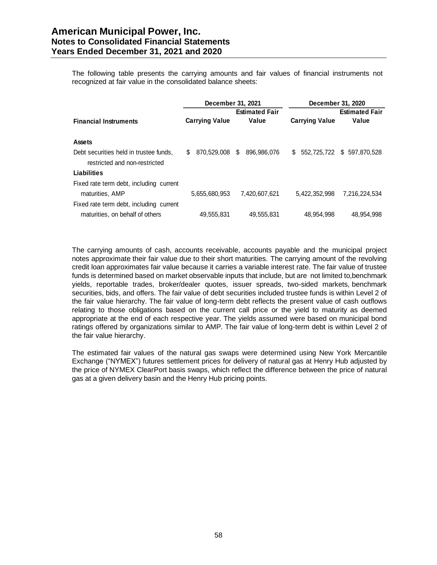The following table presents the carrying amounts and fair values of financial instruments not recognized at fair value in the consolidated balance sheets:

|                                         | December 31, 2021     |                                |                       | December 31, 2020              |
|-----------------------------------------|-----------------------|--------------------------------|-----------------------|--------------------------------|
| <b>Financial Instruments</b>            |                       | <b>Estimated Fair</b><br>Value |                       | <b>Estimated Fair</b><br>Value |
|                                         | <b>Carrying Value</b> |                                | <b>Carrying Value</b> |                                |
| <b>Assets</b>                           |                       |                                |                       |                                |
| Debt securities held in trustee funds,  | 870,529,008<br>S.     | 896,986,076<br>\$.             | S.                    | 552,725,722 \$ 597,870,528     |
| restricted and non-restricted           |                       |                                |                       |                                |
| Liabilities                             |                       |                                |                       |                                |
| Fixed rate term debt, including current |                       |                                |                       |                                |
| maturities, AMP                         | 5,655,680,953         | 7.420.607.621                  | 5.422.352.998         | 7.216.224.534                  |
| Fixed rate term debt, including current |                       |                                |                       |                                |
| maturities, on behalf of others         | 49,555,831            | 49,555,831                     | 48.954.998            | 48.954.998                     |

The carrying amounts of cash, accounts receivable, accounts payable and the municipal project notes approximate their fair value due to their short maturities. The carrying amount of the revolving credit loan approximates fair value because it carries a variable interest rate. The fair value of trustee funds is determined based on market observable inputs that include, but are not limited to,benchmark yields, reportable trades, broker/dealer quotes, issuer spreads, two-sided markets, benchmark securities, bids, and offers. The fair value of debt securities included trustee funds is within Level 2 of the fair value hierarchy. The fair value of long-term debt reflects the present value of cash outflows relating to those obligations based on the current call price or the yield to maturity as deemed appropriate at the end of each respective year. The yields assumed were based on municipal bond ratings offered by organizations similar to AMP. The fair value of long-term debt is within Level 2 of the fair value hierarchy.

The estimated fair values of the natural gas swaps were determined using New York Mercantile Exchange ("NYMEX") futures settlement prices for delivery of natural gas at Henry Hub adjusted by the price of NYMEX ClearPort basis swaps, which reflect the difference between the price of natural gas at a given delivery basin and the Henry Hub pricing points.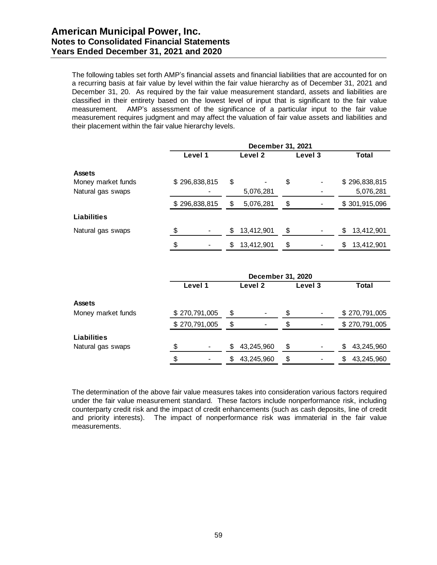The following tables set forth AMP's financial assets and financial liabilities that are accounted for on a recurring basis at fair value by level within the fair value hierarchy as of December 31, 2021 and December 31, 20. As required by the fair value measurement standard, assets and liabilities are classified in their entirety based on the lowest level of input that is significant to the fair value measurement. AMP's assessment of the significance of a particular input to the fair value measurement requires judgment and may affect the valuation of fair value assets and liabilities and their placement within the fair value hierarchy levels.

|                    | December 31, 2021 |               |         |            |         |  |       |               |
|--------------------|-------------------|---------------|---------|------------|---------|--|-------|---------------|
|                    |                   | Level 1       | Level 2 |            | Level 3 |  | Total |               |
| <b>Assets</b>      |                   |               |         |            |         |  |       |               |
| Money market funds |                   | \$296,838,815 | \$      |            | \$      |  |       | \$296,838,815 |
| Natural gas swaps  |                   |               |         | 5,076,281  |         |  |       | 5,076,281     |
|                    |                   | \$296,838,815 | S       | 5,076,281  | \$      |  |       | \$301,915,096 |
| <b>Liabilities</b> |                   |               |         |            |         |  |       |               |
| Natural gas swaps  | \$                |               | \$      | 13,412,901 | \$      |  | S     | 13,412,901    |
|                    | \$                |               | \$      | 13,412,901 | \$      |  | \$    | 13,412,901    |

|                    | December 31, 2020 |               |    |                |    |         |                   |  |
|--------------------|-------------------|---------------|----|----------------|----|---------|-------------------|--|
|                    |                   | Level 1       |    | Level 2        |    | Level 3 | Total             |  |
| <b>Assets</b>      |                   |               |    |                |    |         |                   |  |
| Money market funds |                   | \$270,791,005 | \$ | $\blacksquare$ | \$ |         | \$270,791,005     |  |
|                    |                   | \$270,791,005 | S  | $\blacksquare$ | \$ |         | \$270,791,005     |  |
| Liabilities        |                   |               |    |                |    |         |                   |  |
| Natural gas swaps  | \$                | -             | S  | 43,245,960     | \$ |         | 43,245,960<br>S   |  |
|                    | \$                |               | S  | 43,245,960     | \$ |         | 43,245,960<br>\$. |  |

The determination of the above fair value measures takes into consideration various factors required under the fair value measurement standard. These factors include nonperformance risk, including counterparty credit risk and the impact of credit enhancements (such as cash deposits, line of credit and priority interests). The impact of nonperformance risk was immaterial in the fair value measurements.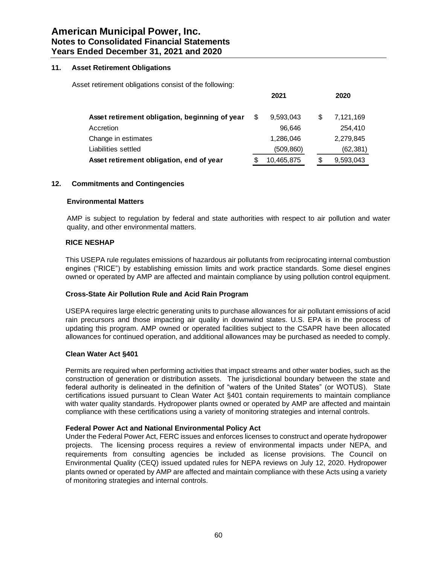### **11. Asset Retirement Obligations**

Asset retirement obligations consist of the following:

|                                                | 2021            |    | 2020      |
|------------------------------------------------|-----------------|----|-----------|
| Asset retirement obligation, beginning of year | \$<br>9,593,043 | \$ | 7,121,169 |
| Accretion                                      | 96.646          |    | 254.410   |
| Change in estimates                            | 1,286,046       |    | 2,279,845 |
| Liabilities settled                            | (509, 860)      |    | (62, 381) |
| Asset retirement obligation, end of year       | 10,465,875      | S  | 9,593,043 |

# **12. Commitments and Contingencies**

#### **Environmental Matters**

AMP is subject to regulation by federal and state authorities with respect to air pollution and water quality, and other environmental matters.

# **RICE NESHAP**

This USEPA rule regulates emissions of hazardous air pollutants from reciprocating internal combustion engines ("RICE") by establishing emission limits and work practice standards. Some diesel engines owned or operated by AMP are affected and maintain compliance by using pollution control equipment.

# **Cross-State Air Pollution Rule and Acid Rain Program**

USEPA requires large electric generating units to purchase allowances for air pollutant emissions of acid rain precursors and those impacting air quality in downwind states. U.S. EPA is in the process of updating this program. AMP owned or operated facilities subject to the CSAPR have been allocated allowances for continued operation, and additional allowances may be purchased as needed to comply.

#### **Clean Water Act §401**

Permits are required when performing activities that impact streams and other water bodies, such as the construction of generation or distribution assets. The jurisdictional boundary between the state and federal authority is delineated in the definition of "waters of the United States" (or WOTUS). State certifications issued pursuant to Clean Water Act §401 contain requirements to maintain compliance with water quality standards. Hydropower plants owned or operated by AMP are affected and maintain compliance with these certifications using a variety of monitoring strategies and internal controls.

# **Federal Power Act and National Environmental Policy Act**

Under the Federal Power Act, FERC issues and enforces licenses to construct and operate hydropower projects. The licensing process requires a review of environmental impacts under NEPA, and requirements from consulting agencies be included as license provisions. The Council on Environmental Quality (CEQ) issued updated rules for NEPA reviews on July 12, 2020. Hydropower plants owned or operated by AMP are affected and maintain compliance with these Acts using a variety of monitoring strategies and internal controls.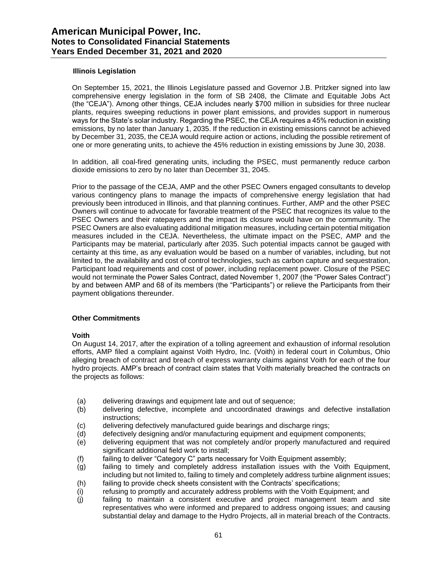## **Illinois Legislation**

On September 15, 2021, the Illinois Legislature passed and Governor J.B. Pritzker signed into law comprehensive energy legislation in the form of SB 2408, the Climate and Equitable Jobs Act (the "CEJA"). Among other things, CEJA includes nearly \$700 million in subsidies for three nuclear plants, requires sweeping reductions in power plant emissions, and provides support in numerous ways for the State's solar industry. Regarding the PSEC, the CEJA requires a 45% reduction in existing emissions, by no later than January 1, 2035. If the reduction in existing emissions cannot be achieved by December 31, 2035, the CEJA would require action or actions, including the possible retirement of one or more generating units, to achieve the 45% reduction in existing emissions by June 30, 2038.

In addition, all coal-fired generating units, including the PSEC, must permanently reduce carbon dioxide emissions to zero by no later than December 31, 2045.

Prior to the passage of the CEJA, AMP and the other PSEC Owners engaged consultants to develop various contingency plans to manage the impacts of comprehensive energy legislation that had previously been introduced in Illinois, and that planning continues. Further, AMP and the other PSEC Owners will continue to advocate for favorable treatment of the PSEC that recognizes its value to the PSEC Owners and their ratepayers and the impact its closure would have on the community. The PSEC Owners are also evaluating additional mitigation measures, including certain potential mitigation measures included in the CEJA. Nevertheless, the ultimate impact on the PSEC, AMP and the Participants may be material, particularly after 2035. Such potential impacts cannot be gauged with certainty at this time, as any evaluation would be based on a number of variables, including, but not limited to, the availability and cost of control technologies, such as carbon capture and sequestration, Participant load requirements and cost of power, including replacement power. Closure of the PSEC would not terminate the Power Sales Contract, dated November 1, 2007 (the "Power Sales Contract") by and between AMP and 68 of its members (the "Participants") or relieve the Participants from their payment obligations thereunder.

# **Other Commitments**

#### **Voith**

On August 14, 2017, after the expiration of a tolling agreement and exhaustion of informal resolution efforts, AMP filed a complaint against Voith Hydro, Inc. (Voith) in federal court in Columbus, Ohio alleging breach of contract and breach of express warranty claims against Voith for each of the four hydro projects. AMP's breach of contract claim states that Voith materially breached the contracts on the projects as follows:

- (a) delivering drawings and equipment late and out of sequence;
- (b) delivering defective, incomplete and uncoordinated drawings and defective installation instructions;
- (c) delivering defectively manufactured guide bearings and discharge rings;
- (d) defectively designing and/or manufacturing equipment and equipment components;
- (e) delivering equipment that was not completely and/or properly manufactured and required significant additional field work to install;
- (f) failing to deliver "Category C" parts necessary for Voith Equipment assembly;
- (g) failing to timely and completely address installation issues with the Voith Equipment, including but not limited to, failing to timely and completely address turbine alignment issues;
- (h) failing to provide check sheets consistent with the Contracts' specifications;
- (i) refusing to promptly and accurately address problems with the Voith Equipment; and
- (j) failing to maintain a consistent executive and project management team and site representatives who were informed and prepared to address ongoing issues; and causing substantial delay and damage to the Hydro Projects, all in material breach of the Contracts.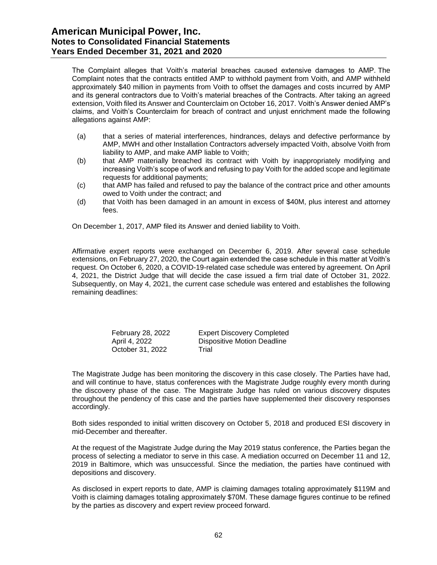The Complaint alleges that Voith's material breaches caused extensive damages to AMP. The Complaint notes that the contracts entitled AMP to withhold payment from Voith, and AMP withheld approximately \$40 million in payments from Voith to offset the damages and costs incurred by AMP and its general contractors due to Voith's material breaches of the Contracts. After taking an agreed extension, Voith filed its Answer and Counterclaim on October 16, 2017. Voith's Answer denied AMP's claims, and Voith's Counterclaim for breach of contract and unjust enrichment made the following allegations against AMP:

- (a) that a series of material interferences, hindrances, delays and defective performance by AMP, MWH and other Installation Contractors adversely impacted Voith, absolve Voith from liability to AMP, and make AMP liable to Voith;
- (b) that AMP materially breached its contract with Voith by inappropriately modifying and increasing Voith's scope of work and refusing to pay Voith for the added scope and legitimate requests for additional payments;
- (c) that AMP has failed and refused to pay the balance of the contract price and other amounts owed to Voith under the contract; and
- (d) that Voith has been damaged in an amount in excess of \$40M, plus interest and attorney fees.

On December 1, 2017, AMP filed its Answer and denied liability to Voith.

Affirmative expert reports were exchanged on December 6, 2019. After several case schedule extensions, on February 27, 2020, the Court again extended the case schedule in this matter at Voith's request. On October 6, 2020, a COVID-19-related case schedule was entered by agreement. On April 4, 2021, the District Judge that will decide the case issued a firm trial date of October 31, 2022. Subsequently, on May 4, 2021, the current case schedule was entered and establishes the following remaining deadlines:

| February 28, 2022 |
|-------------------|
| April 4, 2022     |
| October 31, 2022  |

Expert Discovery Completed Dispositive Motion Deadline Trial

The Magistrate Judge has been monitoring the discovery in this case closely. The Parties have had, and will continue to have, status conferences with the Magistrate Judge roughly every month during the discovery phase of the case. The Magistrate Judge has ruled on various discovery disputes throughout the pendency of this case and the parties have supplemented their discovery responses accordingly.

Both sides responded to initial written discovery on October 5, 2018 and produced ESI discovery in mid-December and thereafter.

At the request of the Magistrate Judge during the May 2019 status conference, the Parties began the process of selecting a mediator to serve in this case. A mediation occurred on December 11 and 12, 2019 in Baltimore, which was unsuccessful. Since the mediation, the parties have continued with depositions and discovery.

As disclosed in expert reports to date, AMP is claiming damages totaling approximately \$119M and Voith is claiming damages totaling approximately \$70M. These damage figures continue to be refined by the parties as discovery and expert review proceed forward.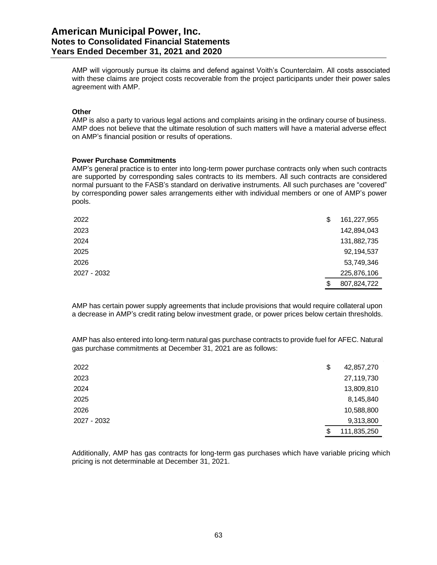# **American Municipal Power, Inc. Notes to Consolidated Financial Statements Years Ended December 31, 2021 and 2020**

AMP will vigorously pursue its claims and defend against Voith's Counterclaim. All costs associated with these claims are project costs recoverable from the project participants under their power sales agreement with AMP.

#### **Other**

AMP is also a party to various legal actions and complaints arising in the ordinary course of business. AMP does not believe that the ultimate resolution of such matters will have a material adverse effect on AMP's financial position or results of operations.

#### **Power Purchase Commitments**

AMP's general practice is to enter into long-term power purchase contracts only when such contracts are supported by corresponding sales contracts to its members. All such contracts are considered normal pursuant to the FASB's standard on derivative instruments. All such purchases are "covered" by corresponding power sales arrangements either with individual members or one of AMP's power pools.

| 2022        | \$<br>161,227,955 |
|-------------|-------------------|
| 2023        | 142,894,043       |
| 2024        | 131,882,735       |
| 2025        | 92,194,537        |
| 2026        | 53,749,346        |
| 2027 - 2032 | 225,876,106       |
|             | \$<br>807,824,722 |

AMP has certain power supply agreements that include provisions that would require collateral upon a decrease in AMP's credit rating below investment grade, or power prices below certain thresholds.

AMP has also entered into long-term natural gas purchase contracts to provide fuel for AFEC. Natural gas purchase commitments at December 31, 2021 are as follows:

| 2022        | \$<br>42,857,270  |
|-------------|-------------------|
| 2023        | 27,119,730        |
| 2024        | 13,809,810        |
| 2025        | 8,145,840         |
| 2026        | 10,588,800        |
| 2027 - 2032 | 9,313,800         |
|             | \$<br>111,835,250 |

Additionally, AMP has gas contracts for long-term gas purchases which have variable pricing which pricing is not determinable at December 31, 2021.